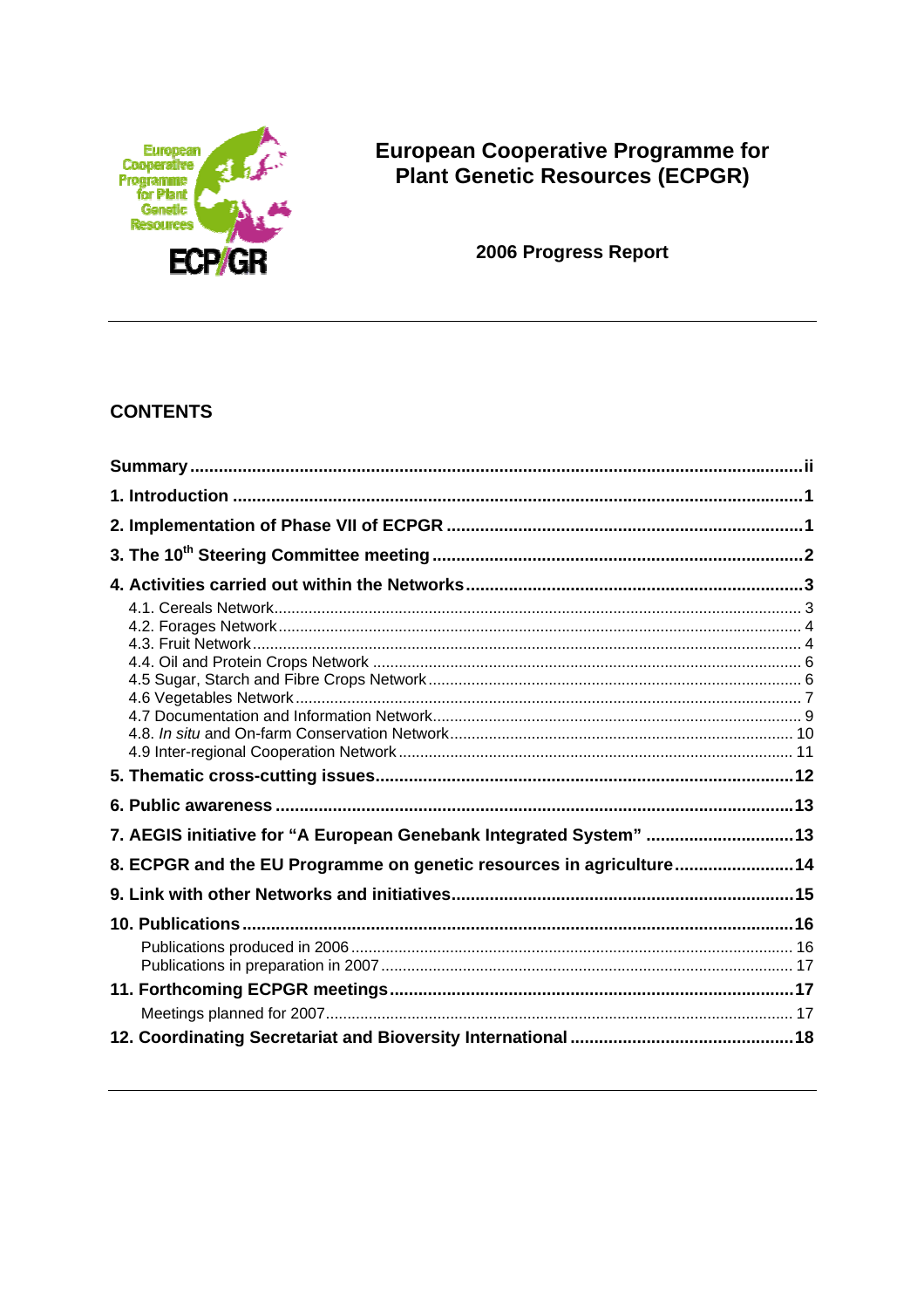

# European Cooperative Programme for<br>Plant Genetic Resources (ECPGR)

2006 Progress Report

# **CONTENTS**

| 7. AEGIS initiative for "A European Genebank Integrated System"  13 |  |
|---------------------------------------------------------------------|--|
| 8. ECPGR and the EU Programme on genetic resources in agriculture14 |  |
|                                                                     |  |
|                                                                     |  |
|                                                                     |  |
|                                                                     |  |
|                                                                     |  |
|                                                                     |  |
|                                                                     |  |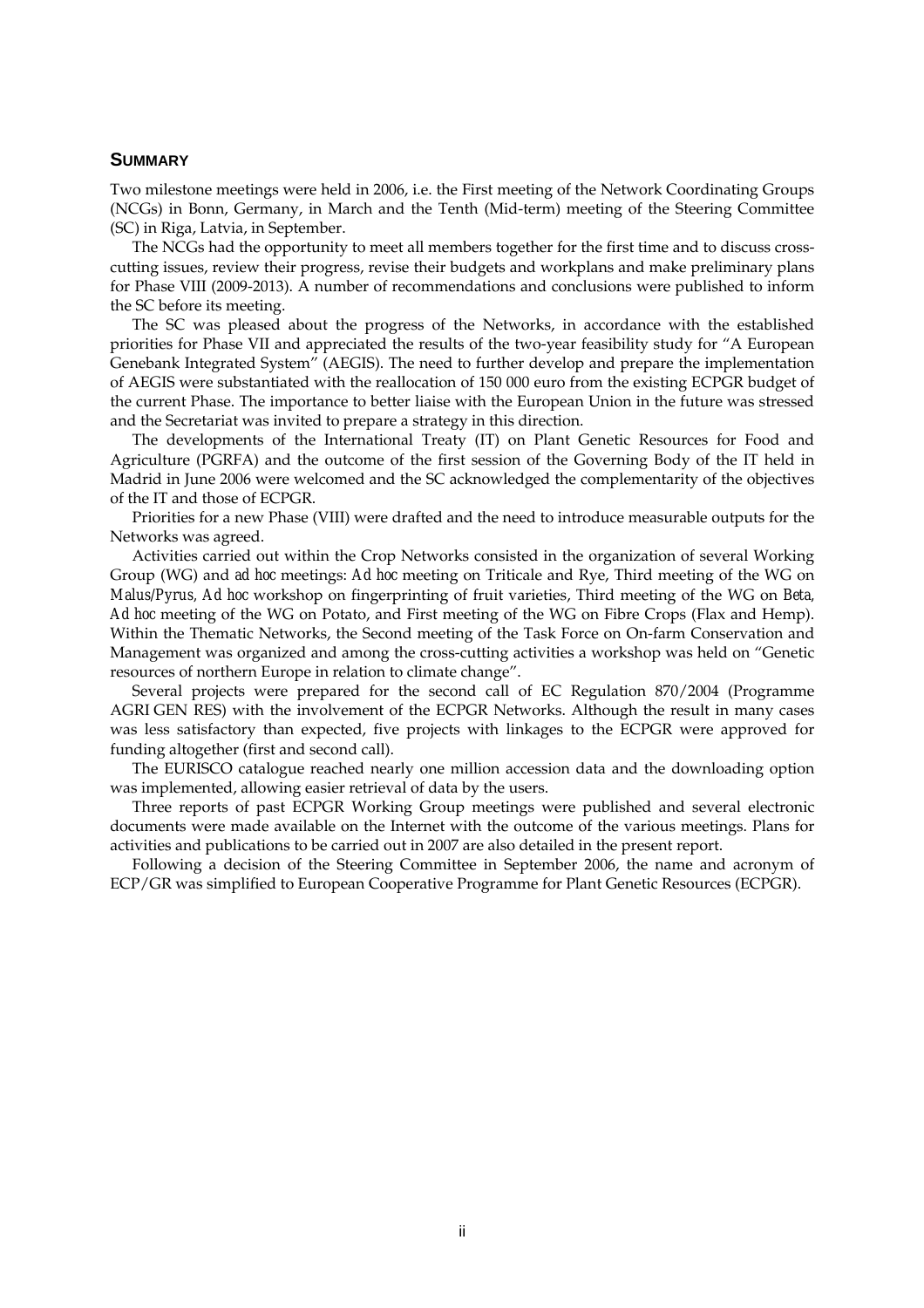## **SUMMARY**

Two milestone meetings were held in 2006, i.e. the First meeting of the Network Coordinating Groups (NCGs) in Bonn, Germany, in March and the Tenth (Mid-term) meeting of the Steering Committee (SC) in Riga, Latvia, in September.

 The NCGs had the opportunity to meet all members together for the first time and to discuss crosscutting issues, review their progress, revise their budgets and workplans and make preliminary plans for Phase VIII (2009-2013). A number of recommendations and conclusions were published to inform the SC before its meeting.

 The SC was pleased about the progress of the Networks, in accordance with the established priorities for Phase VII and appreciated the results of the two-year feasibility study for "A European Genebank Integrated System" (AEGIS). The need to further develop and prepare the implementation of AEGIS were substantiated with the reallocation of 150 000 euro from the existing ECPGR budget of the current Phase. The importance to better liaise with the European Union in the future was stressed and the Secretariat was invited to prepare a strategy in this direction.

 The developments of the International Treaty (IT) on Plant Genetic Resources for Food and Agriculture (PGRFA) and the outcome of the first session of the Governing Body of the IT held in Madrid in June 2006 were welcomed and the SC acknowledged the complementarity of the objectives of the IT and those of ECPGR.

 Priorities for a new Phase (VIII) were drafted and the need to introduce measurable outputs for the Networks was agreed.

 Activities carried out within the Crop Networks consisted in the organization of several Working Group (WG) and *ad hoc* meetings: *Ad hoc* meeting on Triticale and Rye, Third meeting of the WG on *Malus/Pyrus, Ad hoc* workshop on fingerprinting of fruit varieties, Third meeting of the WG on *Beta, Ad hoc* meeting of the WG on Potato, and First meeting of the WG on Fibre Crops (Flax and Hemp). Within the Thematic Networks, the Second meeting of the Task Force on On-farm Conservation and Management was organized and among the cross-cutting activities a workshop was held on "Genetic resources of northern Europe in relation to climate change".

 Several projects were prepared for the second call of EC Regulation 870/2004 (Programme AGRI GEN RES) with the involvement of the ECPGR Networks. Although the result in many cases was less satisfactory than expected, five projects with linkages to the ECPGR were approved for funding altogether (first and second call).

 The EURISCO catalogue reached nearly one million accession data and the downloading option was implemented, allowing easier retrieval of data by the users.

 Three reports of past ECPGR Working Group meetings were published and several electronic documents were made available on the Internet with the outcome of the various meetings. Plans for activities and publications to be carried out in 2007 are also detailed in the present report.

 Following a decision of the Steering Committee in September 2006, the name and acronym of ECP/GR was simplified to European Cooperative Programme for Plant Genetic Resources (ECPGR).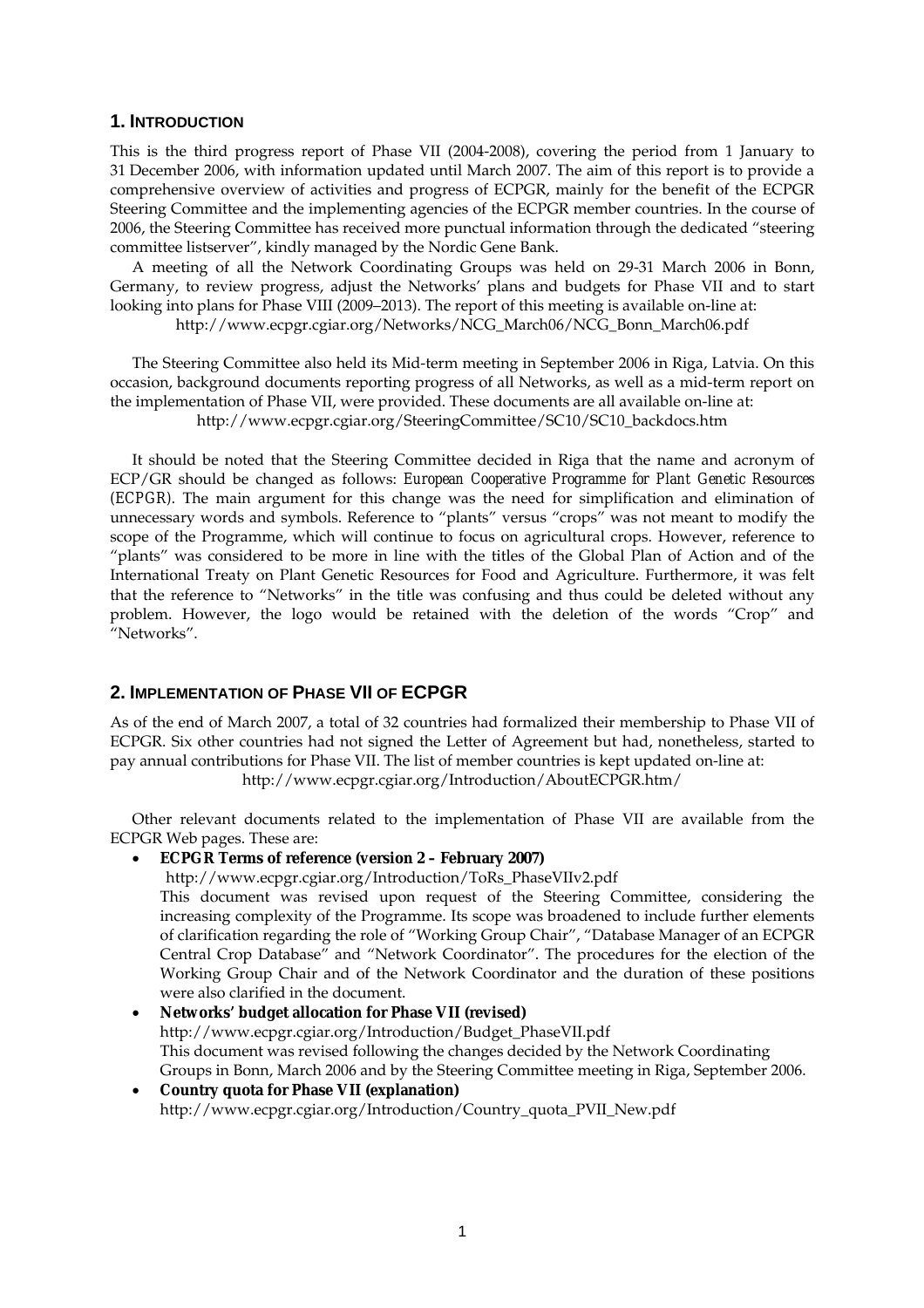## **1. INTRODUCTION**

This is the third progress report of Phase VII (2004-2008), covering the period from 1 January to 31 December 2006, with information updated until March 2007. The aim of this report is to provide a comprehensive overview of activities and progress of ECPGR, mainly for the benefit of the ECPGR Steering Committee and the implementing agencies of the ECPGR member countries. In the course of 2006, the Steering Committee has received more punctual information through the dedicated "steering committee listserver", kindly managed by the Nordic Gene Bank.

 A meeting of all the Network Coordinating Groups was held on 29-31 March 2006 in Bonn, Germany, to review progress, adjust the Networks' plans and budgets for Phase VII and to start looking into plans for Phase VIII (2009–2013). The report of this meeting is available on-line at: http://www.ecpgr.cgiar.org/Networks/NCG\_March06/NCG\_Bonn\_March06.pdf

 The Steering Committee also held its Mid-term meeting in September 2006 in Riga, Latvia. On this occasion, background documents reporting progress of all Networks, as well as a mid-term report on the implementation of Phase VII, were provided. These documents are all available on-line at: http://www.ecpgr.cgiar.org/SteeringCommittee/SC10/SC10\_backdocs.htm

 It should be noted that the Steering Committee decided in Riga that the name and acronym of ECP/GR should be changed as follows: *European Cooperative Programme for Plant Genetic Resources (ECPGR).* The main argument for this change was the need for simplification and elimination of unnecessary words and symbols. Reference to "plants" versus "crops" was not meant to modify the scope of the Programme, which will continue to focus on agricultural crops. However, reference to "plants" was considered to be more in line with the titles of the Global Plan of Action and of the International Treaty on Plant Genetic Resources for Food and Agriculture. Furthermore, it was felt that the reference to "Networks" in the title was confusing and thus could be deleted without any problem. However, the logo would be retained with the deletion of the words "Crop" and "Networks".

# **2. IMPLEMENTATION OF PHASE VII OF ECPGR**

As of the end of March 2007, a total of 32 countries had formalized their membership to Phase VII of ECPGR. Six other countries had not signed the Letter of Agreement but had, nonetheless, started to pay annual contributions for Phase VII. The list of member countries is kept updated on-line at:

http://www.ecpgr.cgiar.org/Introduction/AboutECPGR.htm/

 Other relevant documents related to the implementation of Phase VII are available from the ECPGR Web pages. These are:

- **ECPGR Terms of reference (version 2 February 2007)** 
	- http://www.ecpgr.cgiar.org/Introduction/ToRs\_PhaseVIIv2.pdf

This document was revised upon request of the Steering Committee, considering the increasing complexity of the Programme. Its scope was broadened to include further elements of clarification regarding the role of "Working Group Chair", "Database Manager of an ECPGR Central Crop Database" and "Network Coordinator". The procedures for the election of the Working Group Chair and of the Network Coordinator and the duration of these positions were also clarified in the document.

- **Networks' budget allocation for Phase VII (revised)**  http://www.ecpgr.cgiar.org/Introduction/Budget\_PhaseVII.pdf This document was revised following the changes decided by the Network Coordinating Groups in Bonn, March 2006 and by the Steering Committee meeting in Riga, September 2006.
- **Country quota for Phase VII (explanation)** http://www.ecpgr.cgiar.org/Introduction/Country\_quota\_PVII\_New.pdf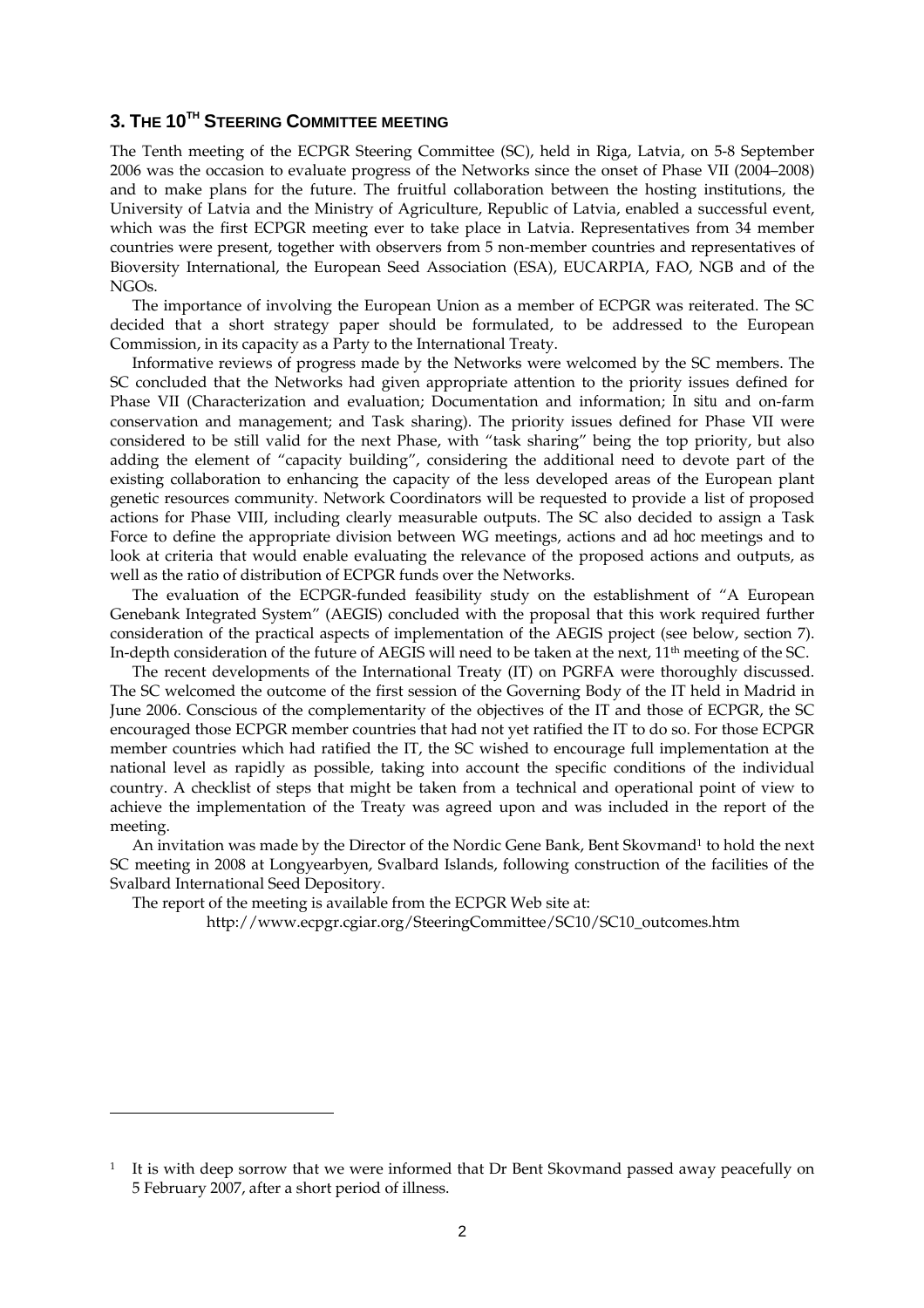# **3. THE 10TH STEERING COMMITTEE MEETING**

The Tenth meeting of the ECPGR Steering Committee (SC), held in Riga, Latvia, on 5-8 September 2006 was the occasion to evaluate progress of the Networks since the onset of Phase VII (2004–2008) and to make plans for the future. The fruitful collaboration between the hosting institutions, the University of Latvia and the Ministry of Agriculture, Republic of Latvia, enabled a successful event, which was the first ECPGR meeting ever to take place in Latvia. Representatives from 34 member countries were present, together with observers from 5 non-member countries and representatives of Bioversity International, the European Seed Association (ESA), EUCARPIA, FAO, NGB and of the NGOs.

The importance of involving the European Union as a member of ECPGR was reiterated. The SC decided that a short strategy paper should be formulated, to be addressed to the European Commission, in its capacity as a Party to the International Treaty.

Informative reviews of progress made by the Networks were welcomed by the SC members. The SC concluded that the Networks had given appropriate attention to the priority issues defined for Phase VII (Characterization and evaluation; Documentation and information; *In situ* and on-farm conservation and management; and Task sharing). The priority issues defined for Phase VII were considered to be still valid for the next Phase, with "task sharing" being the top priority, but also adding the element of "capacity building", considering the additional need to devote part of the existing collaboration to enhancing the capacity of the less developed areas of the European plant genetic resources community. Network Coordinators will be requested to provide a list of proposed actions for Phase VIII, including clearly measurable outputs. The SC also decided to assign a Task Force to define the appropriate division between WG meetings, actions and *ad hoc* meetings and to look at criteria that would enable evaluating the relevance of the proposed actions and outputs, as well as the ratio of distribution of ECPGR funds over the Networks.

The evaluation of the ECPGR-funded feasibility study on the establishment of "A European Genebank Integrated System" (AEGIS) concluded with the proposal that this work required further consideration of the practical aspects of implementation of the AEGIS project (see below, section 7). In-depth consideration of the future of AEGIS will need to be taken at the next, 11<sup>th</sup> meeting of the SC.

The recent developments of the International Treaty (IT) on PGRFA were thoroughly discussed. The SC welcomed the outcome of the first session of the Governing Body of the IT held in Madrid in June 2006. Conscious of the complementarity of the objectives of the IT and those of ECPGR, the SC encouraged those ECPGR member countries that had not yet ratified the IT to do so. For those ECPGR member countries which had ratified the IT, the SC wished to encourage full implementation at the national level as rapidly as possible, taking into account the specific conditions of the individual country. A checklist of steps that might be taken from a technical and operational point of view to achieve the implementation of the Treaty was agreed upon and was included in the report of the meeting.

An invitation was made by the Director of the Nordic Gene Bank, Bent Skovmand<sup>1</sup> to hold the next SC meeting in 2008 at Longyearbyen, Svalbard Islands, following construction of the facilities of the Svalbard International Seed Depository.

The report of the meeting is available from the ECPGR Web site at:

 $\overline{a}$ 

http://www.ecpgr.cgiar.org/SteeringCommittee/SC10/SC10\_outcomes.htm

 $1$  It is with deep sorrow that we were informed that Dr Bent Skovmand passed away peacefully on 5 February 2007, after a short period of illness.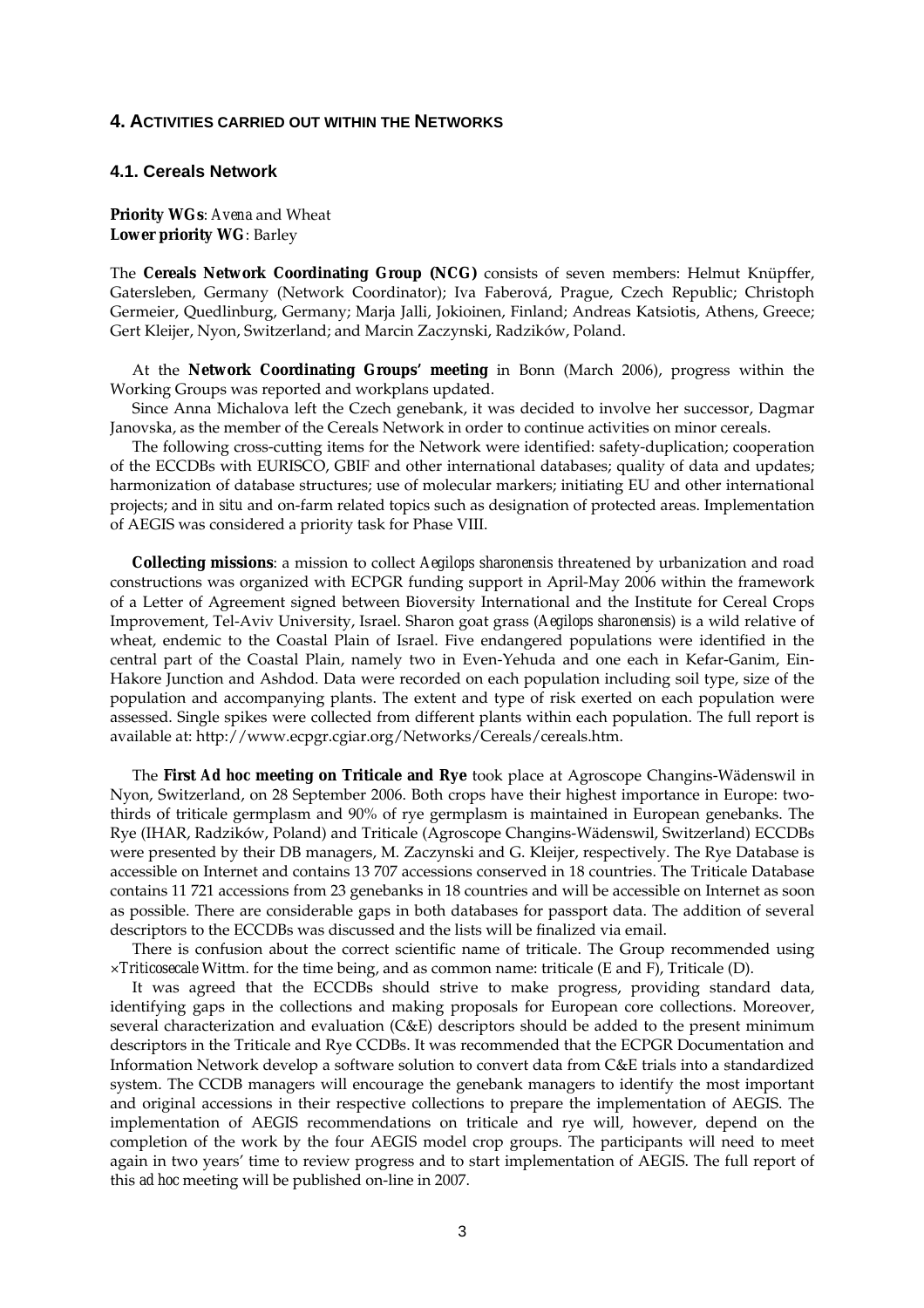#### **4. ACTIVITIES CARRIED OUT WITHIN THE NETWORKS**

## **4.1. Cereals Network**

**Priority WGs**: *Avena* and Wheat **Lower priority WG**: Barley

The **Cereals Network Coordinating Group (NCG)** consists of seven members: Helmut Knüpffer, Gatersleben, Germany (Network Coordinator); Iva Faberová, Prague, Czech Republic; Christoph Germeier, Quedlinburg, Germany; Marja Jalli, Jokioinen, Finland; Andreas Katsiotis, Athens, Greece; Gert Kleijer, Nyon, Switzerland; and Marcin Zaczynski, Radzików, Poland.

 At the **Network Coordinating Groups' meeting** in Bonn (March 2006), progress within the Working Groups was reported and workplans updated.

 Since Anna Michalova left the Czech genebank, it was decided to involve her successor, Dagmar Janovska, as the member of the Cereals Network in order to continue activities on minor cereals.

 The following cross-cutting items for the Network were identified: safety-duplication; cooperation of the ECCDBs with EURISCO, GBIF and other international databases; quality of data and updates; harmonization of database structures; use of molecular markers; initiating EU and other international projects; and *in situ* and on-farm related topics such as designation of protected areas. Implementation of AEGIS was considered a priority task for Phase VIII.

 **Collecting missions**: a mission to collect *Aegilops sharonensis* threatened by urbanization and road constructions was organized with ECPGR funding support in April-May 2006 within the framework of a Letter of Agreement signed between Bioversity International and the Institute for Cereal Crops Improvement, Tel-Aviv University, Israel. Sharon goat grass (*Aegilops sharonensis*) is a wild relative of wheat, endemic to the Coastal Plain of Israel. Five endangered populations were identified in the central part of the Coastal Plain, namely two in Even-Yehuda and one each in Kefar-Ganim, Ein-Hakore Junction and Ashdod. Data were recorded on each population including soil type, size of the population and accompanying plants. The extent and type of risk exerted on each population were assessed. Single spikes were collected from different plants within each population. The full report is available at: http://www.ecpgr.cgiar.org/Networks/Cereals/cereals.htm.

 The **First** *Ad hoc* **meeting on Triticale and Rye** took place at Agroscope Changins-Wädenswil in Nyon, Switzerland, on 28 September 2006. Both crops have their highest importance in Europe: twothirds of triticale germplasm and 90% of rye germplasm is maintained in European genebanks. The Rye (IHAR, Radzików, Poland) and Triticale (Agroscope Changins-Wädenswil, Switzerland) ECCDBs were presented by their DB managers, M. Zaczynski and G. Kleijer, respectively. The Rye Database is accessible on Internet and contains 13 707 accessions conserved in 18 countries. The Triticale Database contains 11 721 accessions from 23 genebanks in 18 countries and will be accessible on Internet as soon as possible. There are considerable gaps in both databases for passport data. The addition of several descriptors to the ECCDBs was discussed and the lists will be finalized via email.

 There is confusion about the correct scientific name of triticale. The Group recommended using ×*Triticosecale* Wittm. for the time being, and as common name: triticale (E and F), Triticale (D).

 It was agreed that the ECCDBs should strive to make progress, providing standard data, identifying gaps in the collections and making proposals for European core collections. Moreover, several characterization and evaluation (C&E) descriptors should be added to the present minimum descriptors in the Triticale and Rye CCDBs. It was recommended that the ECPGR Documentation and Information Network develop a software solution to convert data from C&E trials into a standardized system. The CCDB managers will encourage the genebank managers to identify the most important and original accessions in their respective collections to prepare the implementation of AEGIS. The implementation of AEGIS recommendations on triticale and rye will, however, depend on the completion of the work by the four AEGIS model crop groups. The participants will need to meet again in two years' time to review progress and to start implementation of AEGIS. The full report of this *ad hoc* meeting will be published on-line in 2007.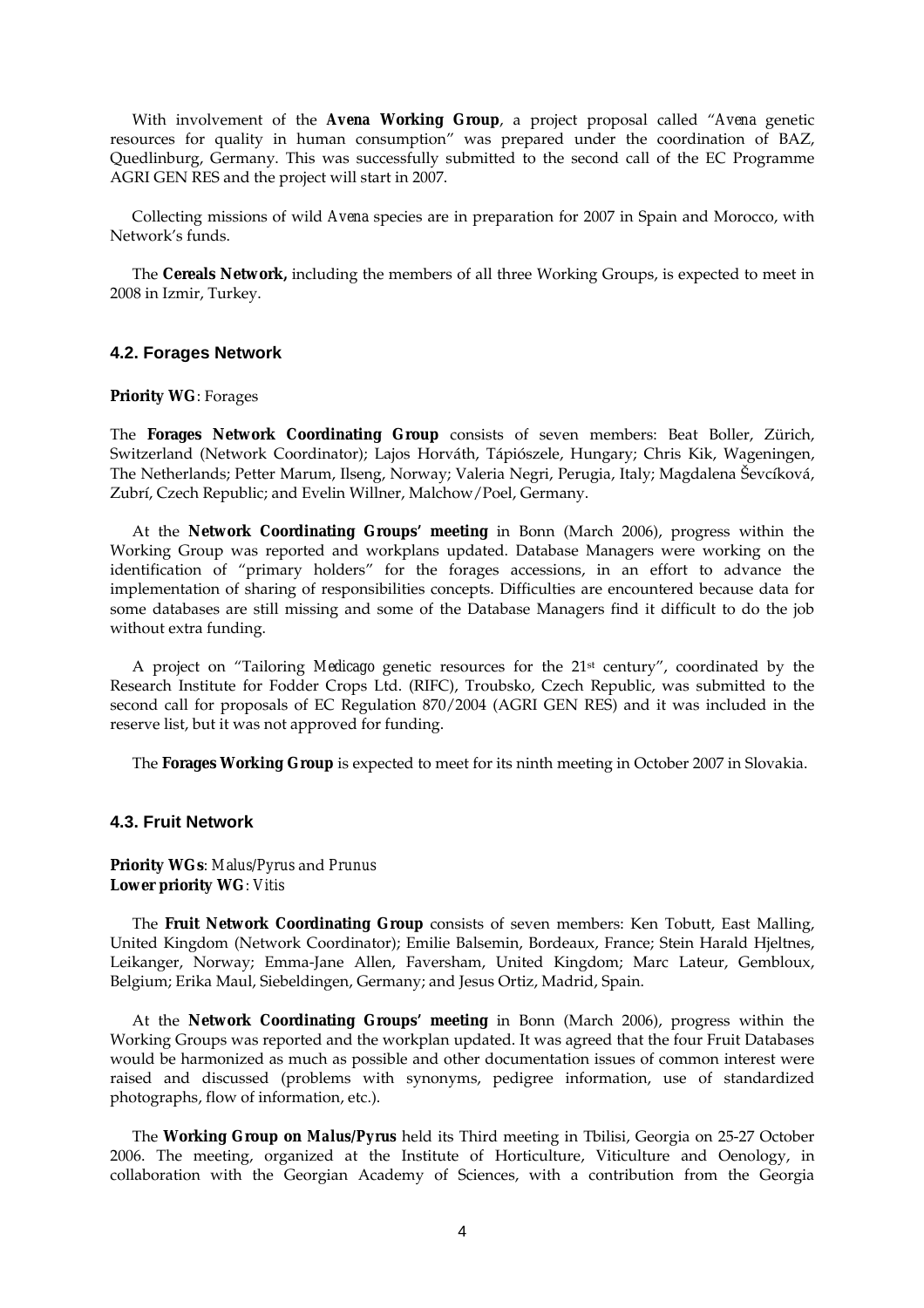With involvement of the *Avena* **Working Group**, a project proposal called "*Avena* genetic resources for quality in human consumption" was prepared under the coordination of BAZ, Quedlinburg, Germany. This was successfully submitted to the second call of the EC Programme AGRI GEN RES and the project will start in 2007.

 Collecting missions of wild *Avena* species are in preparation for 2007 in Spain and Morocco, with Network's funds.

 The **Cereals Network,** including the members of all three Working Groups, is expected to meet in 2008 in Izmir, Turkey.

## **4.2. Forages Network**

#### **Priority WG**: Forages

The **Forages Network Coordinating Group** consists of seven members: Beat Boller, Zürich, Switzerland (Network Coordinator); Lajos Horváth, Tápiószele, Hungary; Chris Kik, Wageningen, The Netherlands; Petter Marum, Ilseng, Norway; Valeria Negri, Perugia, Italy; Magdalena Ševcíková, Zubrí, Czech Republic; and Evelin Willner, Malchow/Poel, Germany.

 At the **Network Coordinating Groups' meeting** in Bonn (March 2006), progress within the Working Group was reported and workplans updated. Database Managers were working on the identification of "primary holders" for the forages accessions, in an effort to advance the implementation of sharing of responsibilities concepts. Difficulties are encountered because data for some databases are still missing and some of the Database Managers find it difficult to do the job without extra funding.

 A project on "Tailoring *Medicago* genetic resources for the 21st century", coordinated by the Research Institute for Fodder Crops Ltd. (RIFC), Troubsko, Czech Republic, was submitted to the second call for proposals of EC Regulation 870/2004 (AGRI GEN RES) and it was included in the reserve list, but it was not approved for funding.

The **Forages Working Group** is expected to meet for its ninth meeting in October 2007 in Slovakia.

#### **4.3. Fruit Network**

## **Priority WGs**: *Malus/Pyrus* and *Prunus* **Lower priority WG**: *Vitis*

 The **Fruit Network Coordinating Group** consists of seven members: Ken Tobutt, East Malling, United Kingdom (Network Coordinator); Emilie Balsemin, Bordeaux, France; Stein Harald Hjeltnes, Leikanger, Norway; Emma-Jane Allen, Faversham, United Kingdom; Marc Lateur, Gembloux, Belgium; Erika Maul, Siebeldingen, Germany; and Jesus Ortiz, Madrid, Spain.

 At the **Network Coordinating Groups' meeting** in Bonn (March 2006), progress within the Working Groups was reported and the workplan updated. It was agreed that the four Fruit Databases would be harmonized as much as possible and other documentation issues of common interest were raised and discussed (problems with synonyms, pedigree information, use of standardized photographs, flow of information, etc.).

 The **Working Group on** *Malus/Pyrus* held its Third meeting in Tbilisi, Georgia on 25-27 October 2006. The meeting, organized at the Institute of Horticulture, Viticulture and Oenology, in collaboration with the Georgian Academy of Sciences, with a contribution from the Georgia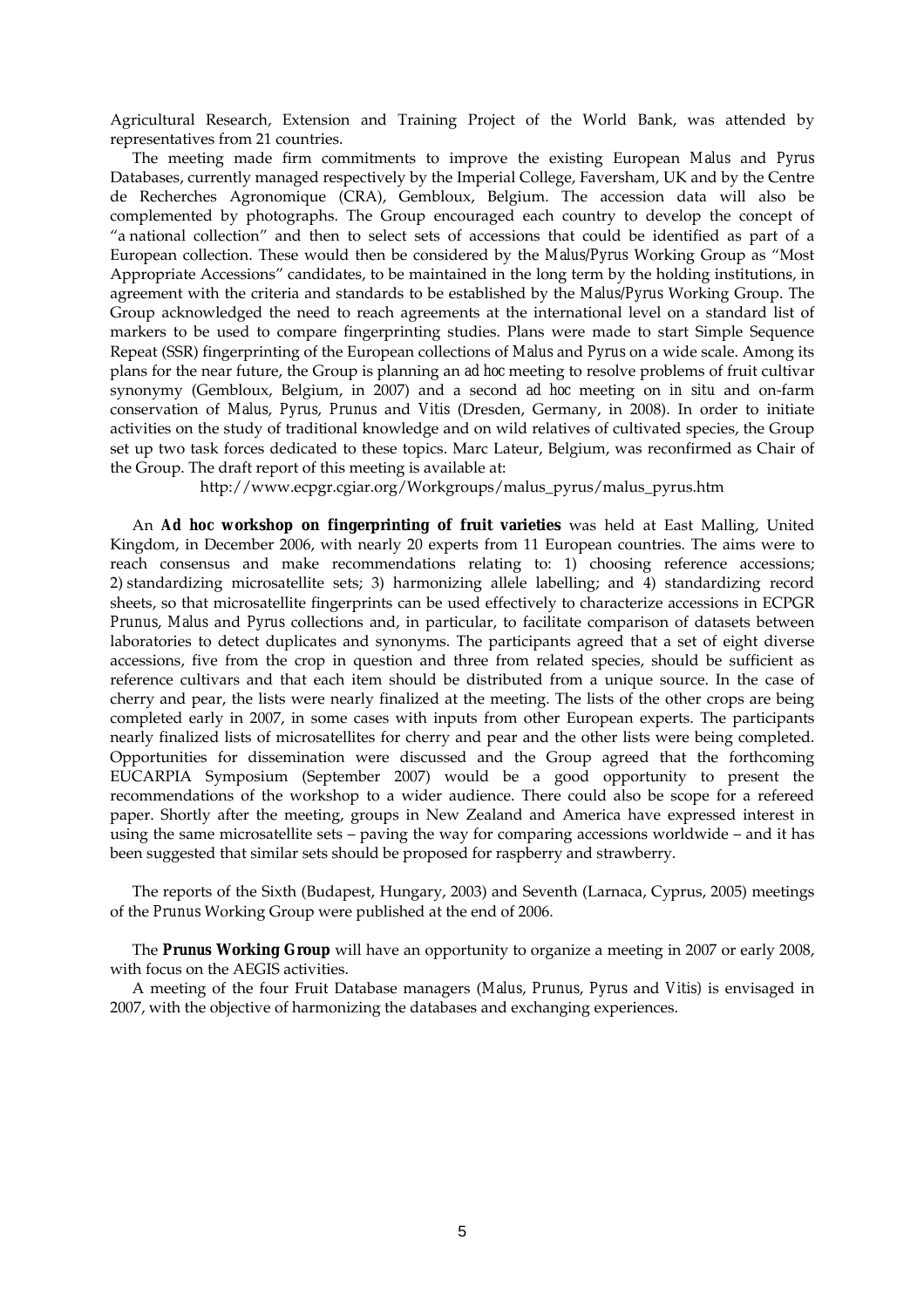Agricultural Research, Extension and Training Project of the World Bank, was attended by representatives from 21 countries.

 The meeting made firm commitments to improve the existing European *Malus* and *Pyrus*  Databases, currently managed respectively by the Imperial College, Faversham, UK and by the Centre de Recherches Agronomique (CRA), Gembloux, Belgium. The accession data will also be complemented by photographs. The Group encouraged each country to develop the concept of "a national collection" and then to select sets of accessions that could be identified as part of a European collection. These would then be considered by the *Malus/Pyrus* Working Group as "Most Appropriate Accessions" candidates, to be maintained in the long term by the holding institutions, in agreement with the criteria and standards to be established by the *Malus/Pyrus* Working Group. The Group acknowledged the need to reach agreements at the international level on a standard list of markers to be used to compare fingerprinting studies. Plans were made to start Simple Sequence Repeat (SSR) fingerprinting of the European collections of *Malus* and *Pyrus* on a wide scale. Among its plans for the near future, the Group is planning an *ad hoc* meeting to resolve problems of fruit cultivar synonymy (Gembloux, Belgium, in 2007) and a second *ad hoc* meeting on *in situ* and on-farm conservation of *Malus*, *Pyrus*, *Prunus* and *Vitis* (Dresden, Germany, in 2008). In order to initiate activities on the study of traditional knowledge and on wild relatives of cultivated species, the Group set up two task forces dedicated to these topics. Marc Lateur, Belgium, was reconfirmed as Chair of the Group. The draft report of this meeting is available at:

http://www.ecpgr.cgiar.org/Workgroups/malus\_pyrus/malus\_pyrus.htm

An *Ad hoc* **workshop on fingerprinting of fruit varieties** was held at East Malling, United Kingdom, in December 2006, with nearly 20 experts from 11 European countries. The aims were to reach consensus and make recommendations relating to: 1) choosing reference accessions; 2) standardizing microsatellite sets; 3) harmonizing allele labelling; and 4) standardizing record sheets, so that microsatellite fingerprints can be used effectively to characterize accessions in ECPGR *Prunus*, *Malus* and *Pyrus* collections and, in particular, to facilitate comparison of datasets between laboratories to detect duplicates and synonyms. The participants agreed that a set of eight diverse accessions, five from the crop in question and three from related species, should be sufficient as reference cultivars and that each item should be distributed from a unique source. In the case of cherry and pear, the lists were nearly finalized at the meeting. The lists of the other crops are being completed early in 2007, in some cases with inputs from other European experts. The participants nearly finalized lists of microsatellites for cherry and pear and the other lists were being completed. Opportunities for dissemination were discussed and the Group agreed that the forthcoming EUCARPIA Symposium (September 2007) would be a good opportunity to present the recommendations of the workshop to a wider audience. There could also be scope for a refereed paper. Shortly after the meeting, groups in New Zealand and America have expressed interest in using the same microsatellite sets – paving the way for comparing accessions worldwide – and it has been suggested that similar sets should be proposed for raspberry and strawberry.

 The reports of the Sixth (Budapest, Hungary, 2003) and Seventh (Larnaca, Cyprus, 2005) meetings of the *Prunus* Working Group were published at the end of 2006.

 The *Prunus* **Working Group** will have an opportunity to organize a meeting in 2007 or early 2008, with focus on the AEGIS activities.

 A meeting of the four Fruit Database managers (*Malus*, *Prunus*, *Pyrus* and *Vitis)* is envisaged in 2007, with the objective of harmonizing the databases and exchanging experiences.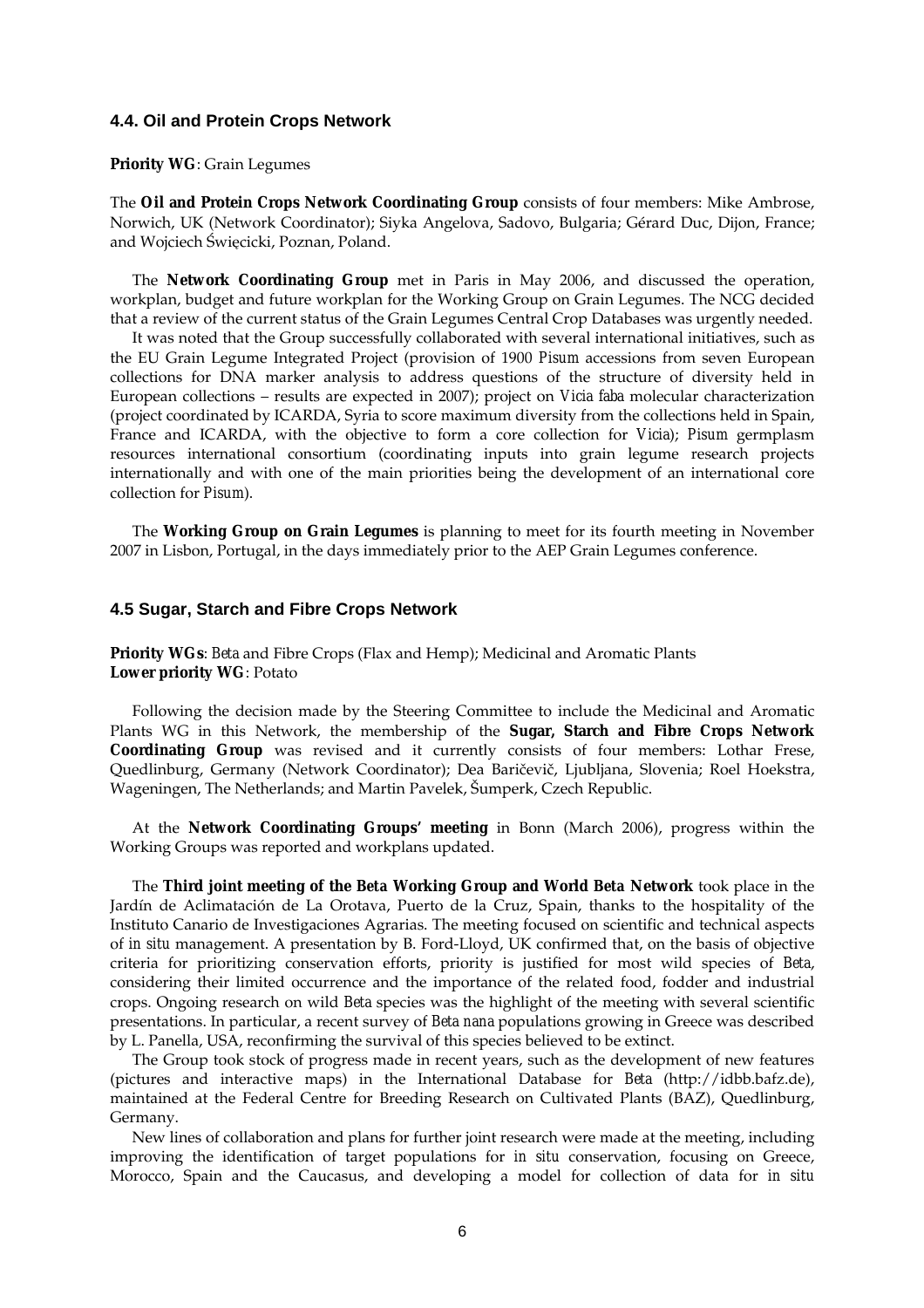#### **4.4. Oil and Protein Crops Network**

## **Priority WG**: Grain Legumes

The **Oil and Protein Crops Network Coordinating Group** consists of four members: Mike Ambrose, Norwich, UK (Network Coordinator); Siyka Angelova, Sadovo, Bulgaria; Gérard Duc, Dijon, France; and Wojciech Święcicki, Poznan, Poland.

The **Network Coordinating Group** met in Paris in May 2006, and discussed the operation, workplan, budget and future workplan for the Working Group on Grain Legumes. The NCG decided that a review of the current status of the Grain Legumes Central Crop Databases was urgently needed.

It was noted that the Group successfully collaborated with several international initiatives, such as the EU Grain Legume Integrated Project (provision of 1900 *Pisum* accessions from seven European collections for DNA marker analysis to address questions of the structure of diversity held in European collections – results are expected in 2007); project on *Vicia faba* molecular characterization (project coordinated by ICARDA, Syria to score maximum diversity from the collections held in Spain, France and ICARDA, with the objective to form a core collection for *Vicia*); *Pisum* germplasm resources international consortium (coordinating inputs into grain legume research projects internationally and with one of the main priorities being the development of an international core collection for *Pisum*).

 The **Working Group on Grain Legumes** is planning to meet for its fourth meeting in November 2007 in Lisbon, Portugal, in the days immediately prior to the AEP Grain Legumes conference.

#### **4.5 Sugar, Starch and Fibre Crops Network**

**Priority WGs**: *Beta* and Fibre Crops (Flax and Hemp); Medicinal and Aromatic Plants **Lower priority WG**: Potato

 Following the decision made by the Steering Committee to include the Medicinal and Aromatic Plants WG in this Network, the membership of the **Sugar, Starch and Fibre Crops Network Coordinating Group** was revised and it currently consists of four members: Lothar Frese, Quedlinburg, Germany (Network Coordinator); Dea Baričevič, Ljubljana, Slovenia; Roel Hoekstra, Wageningen, The Netherlands; and Martin Pavelek, Šumperk, Czech Republic.

 At the **Network Coordinating Groups' meeting** in Bonn (March 2006), progress within the Working Groups was reported and workplans updated.

 The **Third joint meeting of the** *Beta* **Working Group and World** *Beta* **Network** took place in the Jardín de Aclimatación de La Orotava, Puerto de la Cruz, Spain, thanks to the hospitality of the Instituto Canario de Investigaciones Agrarias. The meeting focused on scientific and technical aspects of *in situ* management. A presentation by B. Ford-Lloyd, UK confirmed that, on the basis of objective criteria for prioritizing conservation efforts, priority is justified for most wild species of *Beta*, considering their limited occurrence and the importance of the related food, fodder and industrial crops. Ongoing research on wild *Beta* species was the highlight of the meeting with several scientific presentations. In particular, a recent survey of *Beta nana* populations growing in Greece was described by L. Panella, USA, reconfirming the survival of this species believed to be extinct.

 The Group took stock of progress made in recent years, such as the development of new features (pictures and interactive maps) in the International Database for *Beta* (http://idbb.bafz.de), maintained at the Federal Centre for Breeding Research on Cultivated Plants (BAZ), Quedlinburg, Germany.

 New lines of collaboration and plans for further joint research were made at the meeting, including improving the identification of target populations for *in situ* conservation, focusing on Greece, Morocco, Spain and the Caucasus, and developing a model for collection of data for *in situ*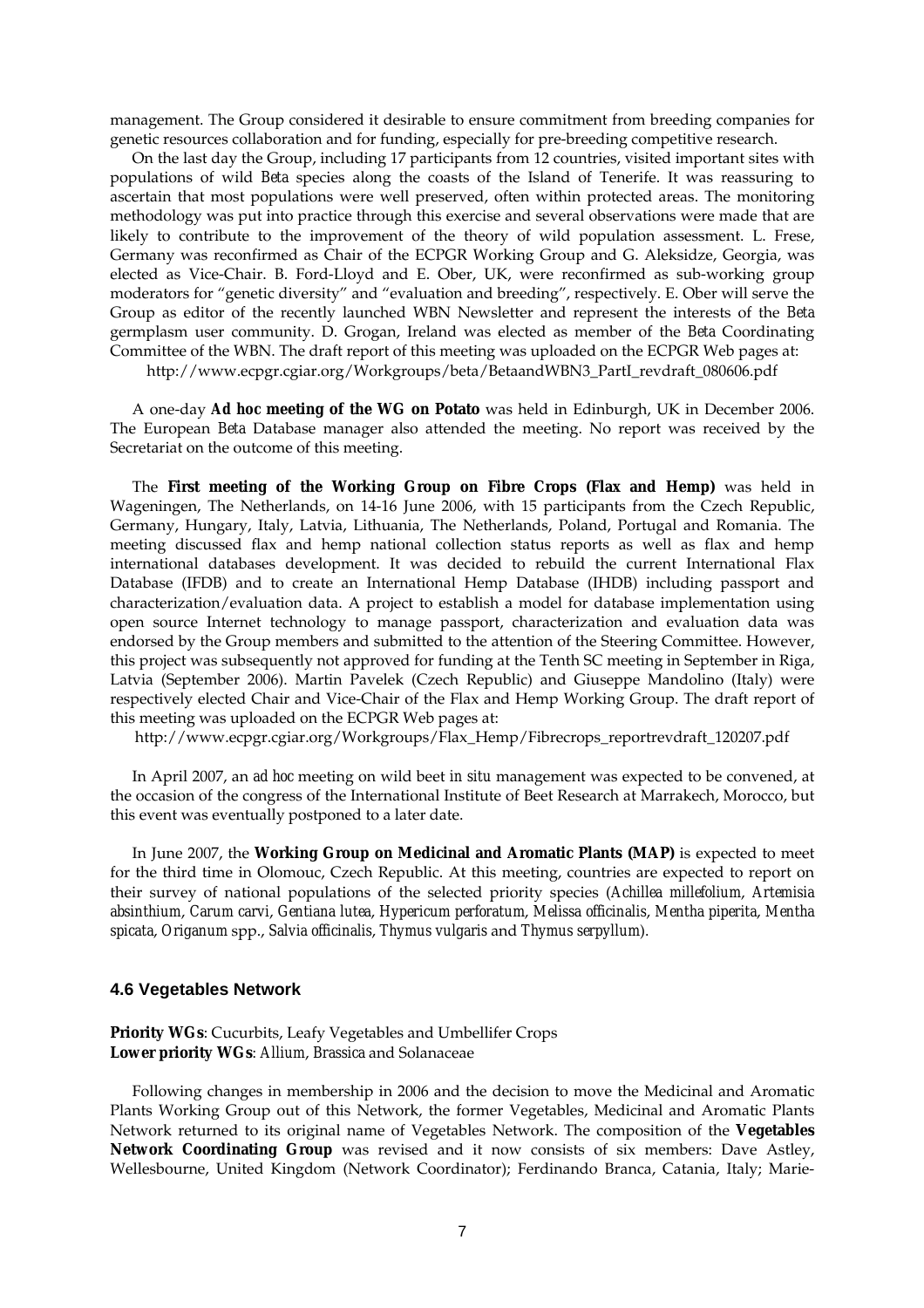management. The Group considered it desirable to ensure commitment from breeding companies for genetic resources collaboration and for funding, especially for pre-breeding competitive research.

 On the last day the Group, including 17 participants from 12 countries, visited important sites with populations of wild *Beta* species along the coasts of the Island of Tenerife. It was reassuring to ascertain that most populations were well preserved, often within protected areas. The monitoring methodology was put into practice through this exercise and several observations were made that are likely to contribute to the improvement of the theory of wild population assessment. L. Frese, Germany was reconfirmed as Chair of the ECPGR Working Group and G. Aleksidze, Georgia, was elected as Vice-Chair. B. Ford-Lloyd and E. Ober, UK, were reconfirmed as sub-working group moderators for "genetic diversity" and "evaluation and breeding", respectively. E. Ober will serve the Group as editor of the recently launched WBN Newsletter and represent the interests of the *Beta* germplasm user community. D. Grogan, Ireland was elected as member of the *Beta* Coordinating Committee of the WBN. The draft report of this meeting was uploaded on the ECPGR Web pages at:

http://www.ecpgr.cgiar.org/Workgroups/beta/BetaandWBN3\_PartI\_revdraft\_080606.pdf

 A one-day *Ad hoc* **meeting of the WG on Potato** was held in Edinburgh, UK in December 2006. The European *Beta* Database manager also attended the meeting. No report was received by the Secretariat on the outcome of this meeting.

 The **First meeting of the Working Group on Fibre Crops (Flax and Hemp)** was held in Wageningen, The Netherlands, on 14-16 June 2006, with 15 participants from the Czech Republic, Germany, Hungary, Italy, Latvia, Lithuania, The Netherlands, Poland, Portugal and Romania. The meeting discussed flax and hemp national collection status reports as well as flax and hemp international databases development. It was decided to rebuild the current International Flax Database (IFDB) and to create an International Hemp Database (IHDB) including passport and characterization/evaluation data. A project to establish a model for database implementation using open source Internet technology to manage passport, characterization and evaluation data was endorsed by the Group members and submitted to the attention of the Steering Committee. However, this project was subsequently not approved for funding at the Tenth SC meeting in September in Riga, Latvia (September 2006). Martin Pavelek (Czech Republic) and Giuseppe Mandolino (Italy) were respectively elected Chair and Vice-Chair of the Flax and Hemp Working Group. The draft report of this meeting was uploaded on the ECPGR Web pages at:

http://www.ecpgr.cgiar.org/Workgroups/Flax\_Hemp/Fibrecrops\_reportrevdraft\_120207.pdf

In April 2007, an *ad hoc* meeting on wild beet *in situ* management was expected to be convened, at the occasion of the congress of the International Institute of Beet Research at Marrakech, Morocco, but this event was eventually postponed to a later date.

In June 2007, the **Working Group on Medicinal and Aromatic Plants (MAP)** is expected to meet for the third time in Olomouc, Czech Republic. At this meeting, countries are expected to report on their survey of national populations of the selected priority species (*Achillea millefolium*, *Artemisia absinthium*, *Carum carvi*, *Gentiana lutea*, *Hypericum perforatum*, *Melissa officinalis*, *Mentha piperita*, *Mentha spicata*, *Origanum* spp., *Salvia officinalis*, *Thymus vulgaris* and *Thymus serpyllum*).

#### **4.6 Vegetables Network**

**Priority WGs**: Cucurbits, Leafy Vegetables and Umbellifer Crops **Lower priority WGs**: *Allium*, *Brassica* and Solanaceae

 Following changes in membership in 2006 and the decision to move the Medicinal and Aromatic Plants Working Group out of this Network, the former Vegetables, Medicinal and Aromatic Plants Network returned to its original name of Vegetables Network. The composition of the **Vegetables Network Coordinating Group** was revised and it now consists of six members: Dave Astley, Wellesbourne, United Kingdom (Network Coordinator); Ferdinando Branca, Catania, Italy; Marie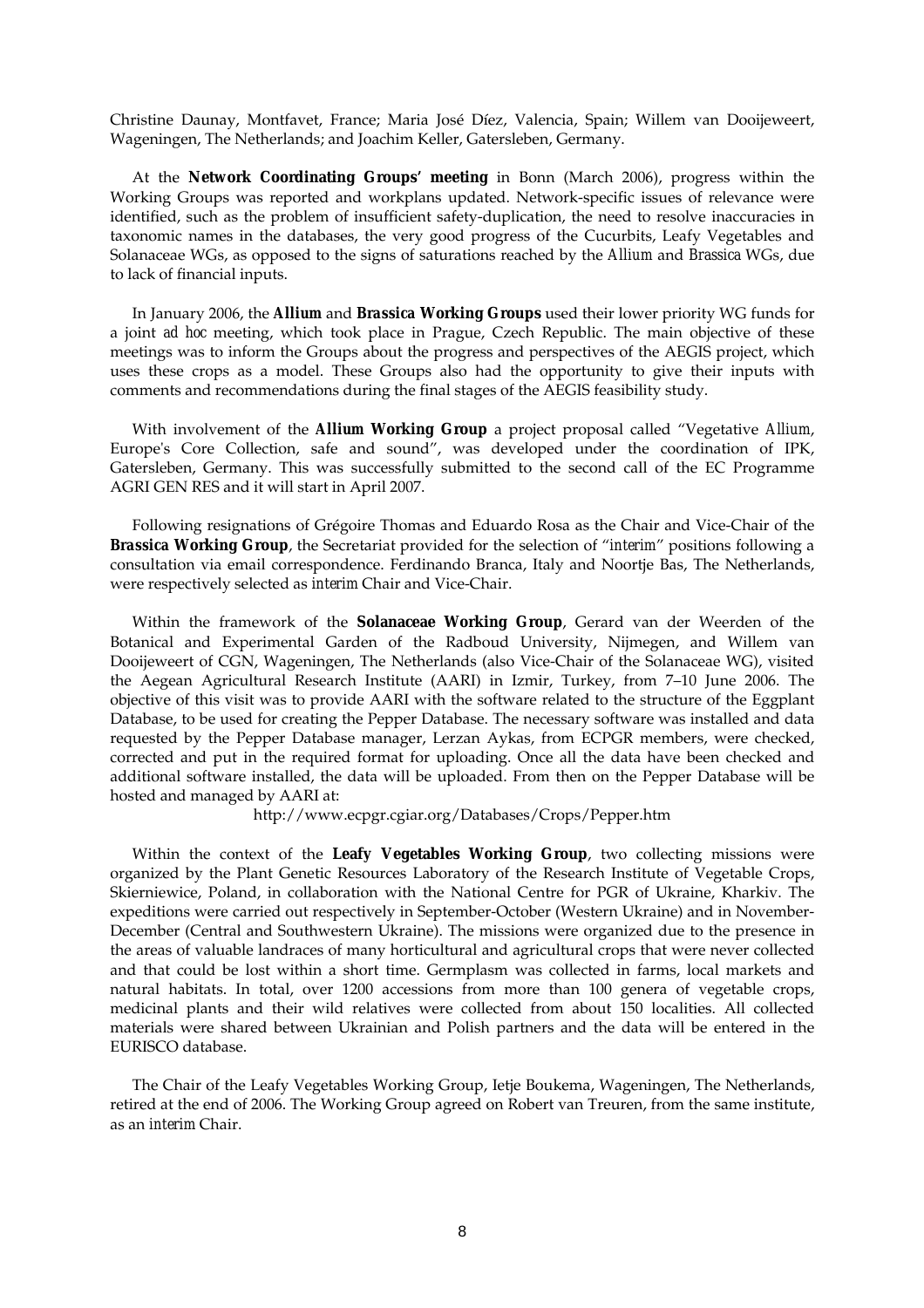Christine Daunay, Montfavet, France; Maria José Díez, Valencia, Spain; Willem van Dooijeweert, Wageningen, The Netherlands; and Joachim Keller, Gatersleben, Germany.

 At the **Network Coordinating Groups' meeting** in Bonn (March 2006), progress within the Working Groups was reported and workplans updated. Network-specific issues of relevance were identified, such as the problem of insufficient safety-duplication, the need to resolve inaccuracies in taxonomic names in the databases, the very good progress of the Cucurbits, Leafy Vegetables and Solanaceae WGs, as opposed to the signs of saturations reached by the *Allium* and *Brassica* WGs, due to lack of financial inputs.

 In January 2006, the *Allium* and *Brassica* **Working Groups** used their lower priority WG funds for a joint *ad hoc* meeting, which took place in Prague, Czech Republic. The main objective of these meetings was to inform the Groups about the progress and perspectives of the AEGIS project, which uses these crops as a model. These Groups also had the opportunity to give their inputs with comments and recommendations during the final stages of the AEGIS feasibility study.

 With involvement of the *Allium* **Working Group** a project proposal called "Vegetative *Allium*, Europe's Core Collection, safe and sound", was developed under the coordination of IPK, Gatersleben, Germany. This was successfully submitted to the second call of the EC Programme AGRI GEN RES and it will start in April 2007.

 Following resignations of Grégoire Thomas and Eduardo Rosa as the Chair and Vice-Chair of the *Brassica* **Working Group**, the Secretariat provided for the selection of "*interim*" positions following a consultation via email correspondence. Ferdinando Branca, Italy and Noortje Bas, The Netherlands, were respectively selected as *interim* Chair and Vice-Chair.

 Within the framework of the **Solanaceae Working Group**, Gerard van der Weerden of the Botanical and Experimental Garden of the Radboud University, Nijmegen, and Willem van Dooijeweert of CGN, Wageningen, The Netherlands (also Vice-Chair of the Solanaceae WG), visited the Aegean Agricultural Research Institute (AARI) in Izmir, Turkey, from 7–10 June 2006. The objective of this visit was to provide AARI with the software related to the structure of the Eggplant Database, to be used for creating the Pepper Database. The necessary software was installed and data requested by the Pepper Database manager, Lerzan Aykas, from ECPGR members, were checked, corrected and put in the required format for uploading. Once all the data have been checked and additional software installed, the data will be uploaded. From then on the Pepper Database will be hosted and managed by AARI at:

http://www.ecpgr.cgiar.org/Databases/Crops/Pepper.htm

 Within the context of the **Leafy Vegetables Working Group**, two collecting missions were organized by the Plant Genetic Resources Laboratory of the Research Institute of Vegetable Crops, Skierniewice, Poland, in collaboration with the National Centre for PGR of Ukraine, Kharkiv. The expeditions were carried out respectively in September-October (Western Ukraine) and in November-December (Central and Southwestern Ukraine). The missions were organized due to the presence in the areas of valuable landraces of many horticultural and agricultural crops that were never collected and that could be lost within a short time. Germplasm was collected in farms, local markets and natural habitats. In total, over 1200 accessions from more than 100 genera of vegetable crops, medicinal plants and their wild relatives were collected from about 150 localities. All collected materials were shared between Ukrainian and Polish partners and the data will be entered in the EURISCO database.

 The Chair of the Leafy Vegetables Working Group, Ietje Boukema, Wageningen, The Netherlands, retired at the end of 2006. The Working Group agreed on Robert van Treuren, from the same institute, as an *interim* Chair.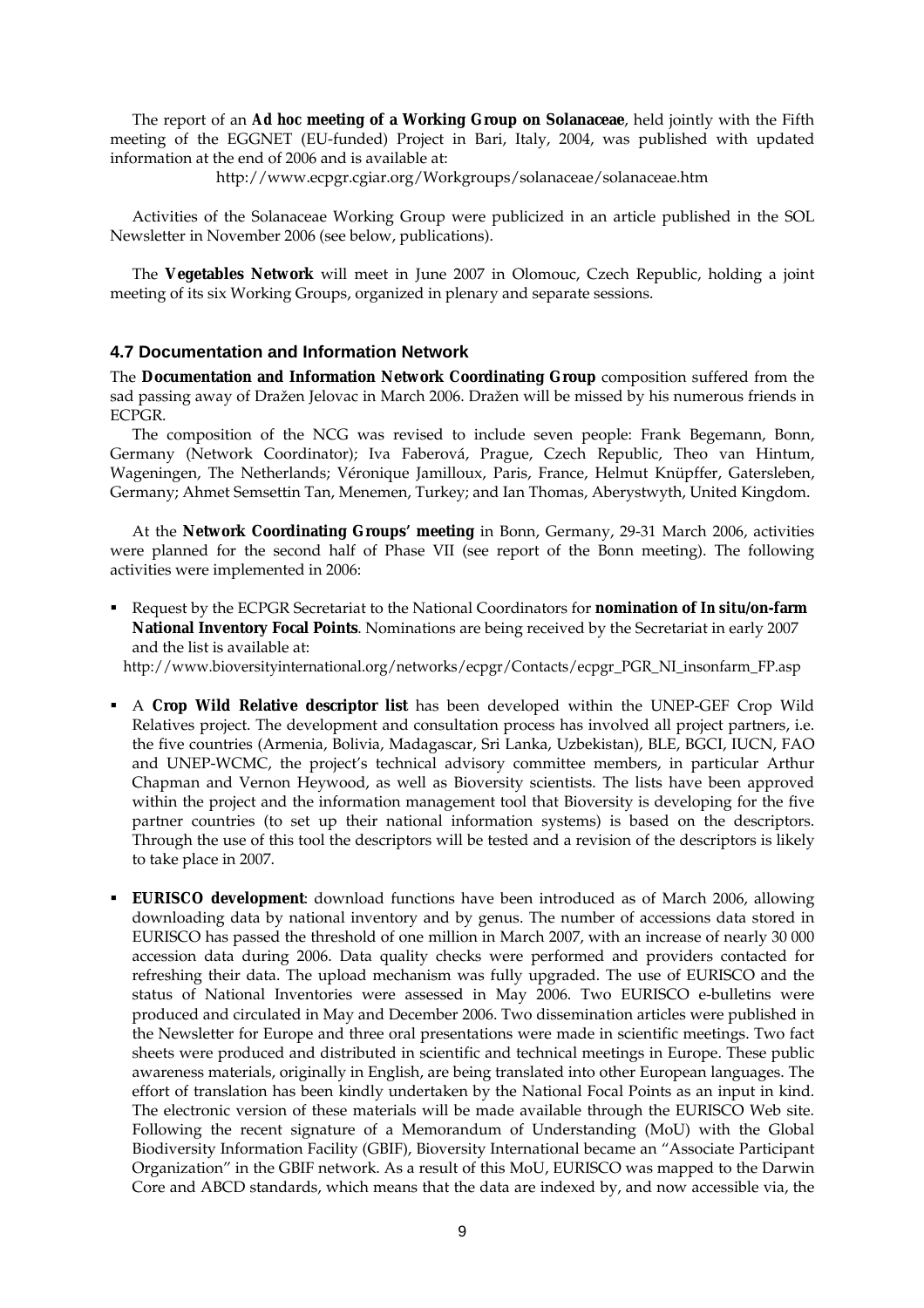The report of an *Ad hoc* **meeting of a Working Group on Solanaceae**, held jointly with the Fifth meeting of the EGGNET (EU-funded) Project in Bari, Italy, 2004, was published with updated information at the end of 2006 and is available at:

http://www.ecpgr.cgiar.org/Workgroups/solanaceae/solanaceae.htm

 Activities of the Solanaceae Working Group were publicized in an article published in the SOL Newsletter in November 2006 (see below, publications).

 The **Vegetables Network** will meet in June 2007 in Olomouc, Czech Republic, holding a joint meeting of its six Working Groups, organized in plenary and separate sessions.

## **4.7 Documentation and Information Network**

The **Documentation and Information Network Coordinating Group** composition suffered from the sad passing away of Dražen Jelovac in March 2006. Dražen will be missed by his numerous friends in ECPGR.

 The composition of the NCG was revised to include seven people: Frank Begemann, Bonn, Germany (Network Coordinator); Iva Faberová, Prague, Czech Republic, Theo van Hintum, Wageningen, The Netherlands; Véronique Jamilloux, Paris, France, Helmut Knüpffer, Gatersleben, Germany; Ahmet Semsettin Tan, Menemen, Turkey; and Ian Thomas, Aberystwyth, United Kingdom.

 At the **Network Coordinating Groups' meeting** in Bonn, Germany, 29-31 March 2006, activities were planned for the second half of Phase VII (see report of the Bonn meeting). The following activities were implemented in 2006:

**Request by the ECPGR Secretariat to the National Coordinators for <b>nomination of In situ/on-farm National Inventory Focal Points**. Nominations are being received by the Secretariat in early 2007 and the list is available at:

http://www.bioversityinternational.org/networks/ecpgr/Contacts/ecpgr\_PGR\_NI\_insonfarm\_FP.asp

- A **Crop Wild Relative descriptor list** has been developed within the UNEP-GEF Crop Wild Relatives project. The development and consultation process has involved all project partners, i.e. the five countries (Armenia, Bolivia, Madagascar, Sri Lanka, Uzbekistan), BLE, BGCI, IUCN, FAO and UNEP-WCMC, the project's technical advisory committee members, in particular Arthur Chapman and Vernon Heywood, as well as Bioversity scientists. The lists have been approved within the project and the information management tool that Bioversity is developing for the five partner countries (to set up their national information systems) is based on the descriptors. Through the use of this tool the descriptors will be tested and a revision of the descriptors is likely to take place in 2007.
- **EURISCO development**: download functions have been introduced as of March 2006, allowing downloading data by national inventory and by genus. The number of accessions data stored in EURISCO has passed the threshold of one million in March 2007, with an increase of nearly 30 000 accession data during 2006. Data quality checks were performed and providers contacted for refreshing their data. The upload mechanism was fully upgraded. The use of EURISCO and the status of National Inventories were assessed in May 2006. Two EURISCO e-bulletins were produced and circulated in May and December 2006. Two dissemination articles were published in the Newsletter for Europe and three oral presentations were made in scientific meetings. Two fact sheets were produced and distributed in scientific and technical meetings in Europe. These public awareness materials, originally in English, are being translated into other European languages. The effort of translation has been kindly undertaken by the National Focal Points as an input in kind. The electronic version of these materials will be made available through the EURISCO Web site. Following the recent signature of a Memorandum of Understanding (MoU) with the Global Biodiversity Information Facility (GBIF), Bioversity International became an "Associate Participant Organization" in the GBIF network. As a result of this MoU, EURISCO was mapped to the Darwin Core and ABCD standards, which means that the data are indexed by, and now accessible via, the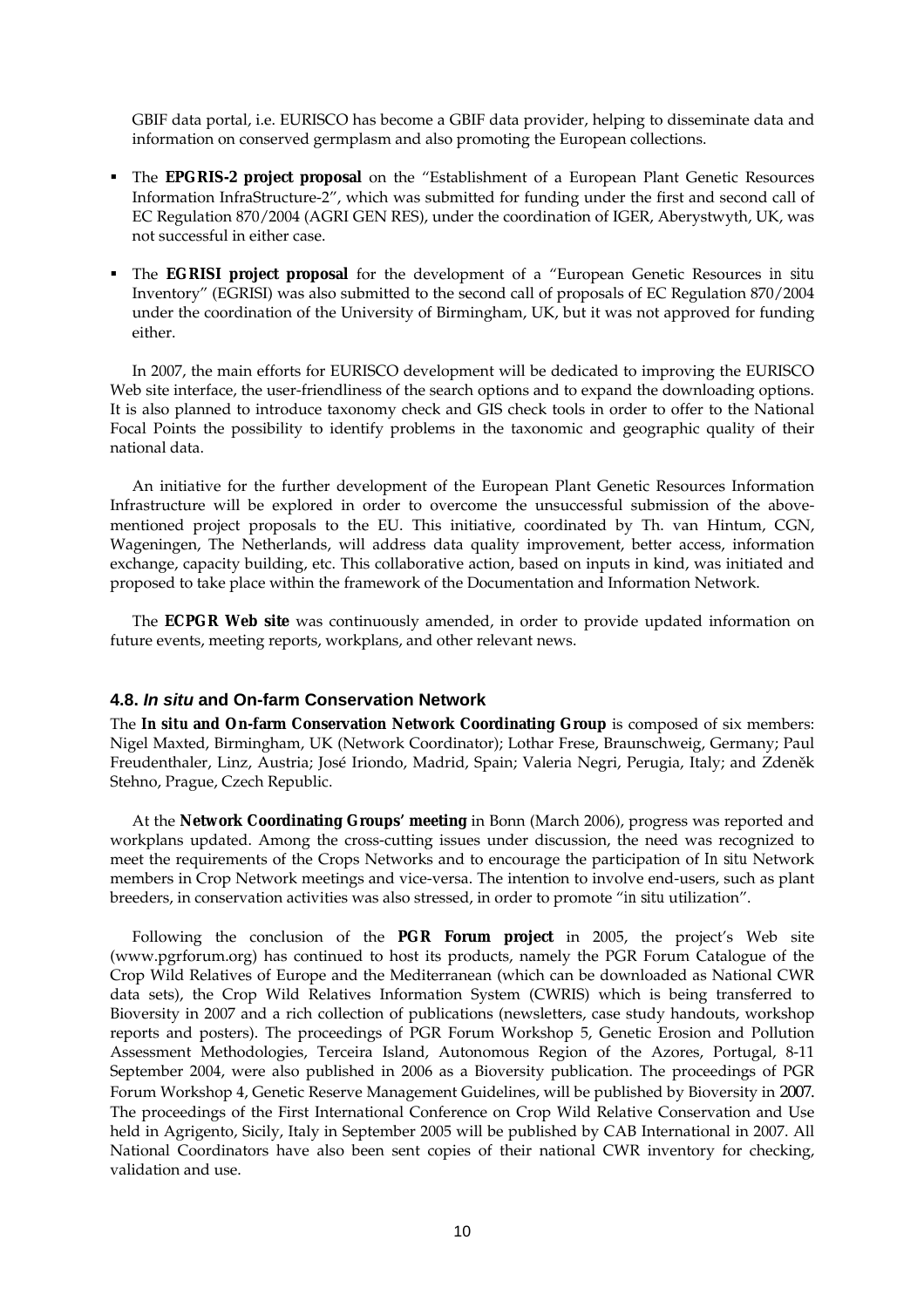GBIF data portal, i.e. EURISCO has become a GBIF data provider, helping to disseminate data and information on conserved germplasm and also promoting the European collections.

- The **EPGRIS-2 project proposal** on the "Establishment of a European Plant Genetic Resources Information InfraStructure-2", which was submitted for funding under the first and second call of EC Regulation 870/2004 (AGRI GEN RES), under the coordination of IGER, Aberystwyth, UK, was not successful in either case.
- The **EGRISI project proposal** for the development of a "European Genetic Resources *in situ* Inventory" (EGRISI) was also submitted to the second call of proposals of EC Regulation 870/2004 under the coordination of the University of Birmingham, UK, but it was not approved for funding either.

 In 2007, the main efforts for EURISCO development will be dedicated to improving the EURISCO Web site interface, the user-friendliness of the search options and to expand the downloading options. It is also planned to introduce taxonomy check and GIS check tools in order to offer to the National Focal Points the possibility to identify problems in the taxonomic and geographic quality of their national data.

 An initiative for the further development of the European Plant Genetic Resources Information Infrastructure will be explored in order to overcome the unsuccessful submission of the abovementioned project proposals to the EU. This initiative, coordinated by Th. van Hintum, CGN, Wageningen, The Netherlands, will address data quality improvement, better access, information exchange, capacity building, etc. This collaborative action, based on inputs in kind, was initiated and proposed to take place within the framework of the Documentation and Information Network.

 The **ECPGR Web site** was continuously amended, in order to provide updated information on future events, meeting reports, workplans, and other relevant news.

## **4.8.** *In situ* **and On-farm Conservation Network**

The *In situ* **and On-farm Conservation Network Coordinating Group** is composed of six members: Nigel Maxted, Birmingham, UK (Network Coordinator); Lothar Frese, Braunschweig, Germany; Paul Freudenthaler, Linz, Austria; José Iriondo, Madrid, Spain; Valeria Negri, Perugia, Italy; and Zdeněk Stehno, Prague, Czech Republic.

 At the **Network Coordinating Groups' meeting** in Bonn (March 2006), progress was reported and workplans updated. Among the cross-cutting issues under discussion, the need was recognized to meet the requirements of the Crops Networks and to encourage the participation of *In situ* Network members in Crop Network meetings and vice-versa. The intention to involve end-users, such as plant breeders, in conservation activities was also stressed, in order to promote "*in situ* utilization".

 Following the conclusion of the **PGR Forum project** in 2005, the project's Web site (www.pgrforum.org) has continued to host its products, namely the PGR Forum Catalogue of the Crop Wild Relatives of Europe and the Mediterranean (which can be downloaded as National CWR data sets), the Crop Wild Relatives Information System (CWRIS) which is being transferred to Bioversity in 2007 and a rich collection of publications (newsletters, case study handouts, workshop reports and posters). The proceedings of PGR Forum Workshop 5, Genetic Erosion and Pollution Assessment Methodologies, Terceira Island, Autonomous Region of the Azores, Portugal, 8-11 September 2004, were also published in 2006 as a Bioversity publication. The proceedings of PGR Forum Workshop 4, Genetic Reserve Management Guidelines, will be published by Bioversity in 2007. The proceedings of the First International Conference on Crop Wild Relative Conservation and Use held in Agrigento, Sicily, Italy in September 2005 will be published by CAB International in 2007. All National Coordinators have also been sent copies of their national CWR inventory for checking, validation and use.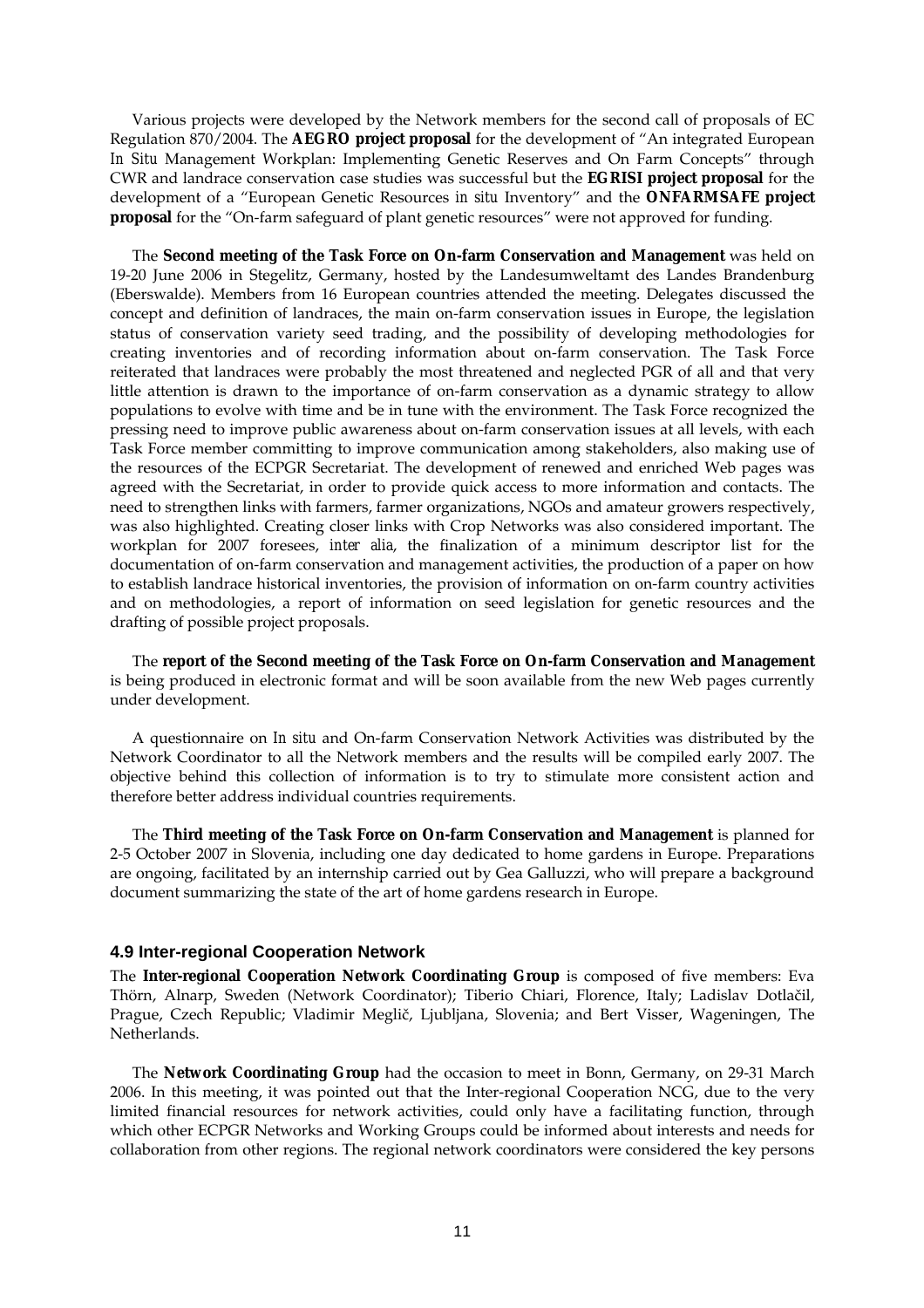Various projects were developed by the Network members for the second call of proposals of EC Regulation 870/2004. The **AEGRO project proposal** for the development of "An integrated European *In Situ* Management Workplan: Implementing Genetic Reserves and On Farm Concepts" through CWR and landrace conservation case studies was successful but the **EGRISI project proposal** for the development of a "European Genetic Resources *in situ* Inventory" and the **ONFARMSAFE project proposal** for the "On-farm safeguard of plant genetic resources" were not approved for funding.

 The **Second meeting of the Task Force on On-farm Conservation and Management** was held on 19-20 June 2006 in Stegelitz, Germany, hosted by the Landesumweltamt des Landes Brandenburg (Eberswalde). Members from 16 European countries attended the meeting. Delegates discussed the concept and definition of landraces, the main on-farm conservation issues in Europe, the legislation status of conservation variety seed trading, and the possibility of developing methodologies for creating inventories and of recording information about on-farm conservation. The Task Force reiterated that landraces were probably the most threatened and neglected PGR of all and that very little attention is drawn to the importance of on-farm conservation as a dynamic strategy to allow populations to evolve with time and be in tune with the environment. The Task Force recognized the pressing need to improve public awareness about on-farm conservation issues at all levels, with each Task Force member committing to improve communication among stakeholders, also making use of the resources of the ECPGR Secretariat. The development of renewed and enriched Web pages was agreed with the Secretariat, in order to provide quick access to more information and contacts. The need to strengthen links with farmers, farmer organizations, NGOs and amateur growers respectively, was also highlighted. Creating closer links with Crop Networks was also considered important. The workplan for 2007 foresees, *inter alia*, the finalization of a minimum descriptor list for the documentation of on-farm conservation and management activities, the production of a paper on how to establish landrace historical inventories, the provision of information on on-farm country activities and on methodologies, a report of information on seed legislation for genetic resources and the drafting of possible project proposals.

 The **report of the Second meeting of the Task Force on On-farm Conservation and Management** is being produced in electronic format and will be soon available from the new Web pages currently under development.

 A questionnaire on *In situ* and On-farm Conservation Network Activities was distributed by the Network Coordinator to all the Network members and the results will be compiled early 2007. The objective behind this collection of information is to try to stimulate more consistent action and therefore better address individual countries requirements.

 The **Third meeting of the Task Force on On-farm Conservation and Management** is planned for 2-5 October 2007 in Slovenia, including one day dedicated to home gardens in Europe. Preparations are ongoing, facilitated by an internship carried out by Gea Galluzzi, who will prepare a background document summarizing the state of the art of home gardens research in Europe.

#### **4.9 Inter-regional Cooperation Network**

The **Inter-regional Cooperation Network Coordinating Group** is composed of five members: Eva Thörn, Alnarp, Sweden (Network Coordinator); Tiberio Chiari, Florence, Italy; Ladislav Dotlačil, Prague, Czech Republic; Vladimir Meglič, Ljubljana, Slovenia; and Bert Visser, Wageningen, The Netherlands.

The **Network Coordinating Group** had the occasion to meet in Bonn, Germany, on 29-31 March 2006. In this meeting, it was pointed out that the Inter-regional Cooperation NCG, due to the very limited financial resources for network activities, could only have a facilitating function, through which other ECPGR Networks and Working Groups could be informed about interests and needs for collaboration from other regions. The regional network coordinators were considered the key persons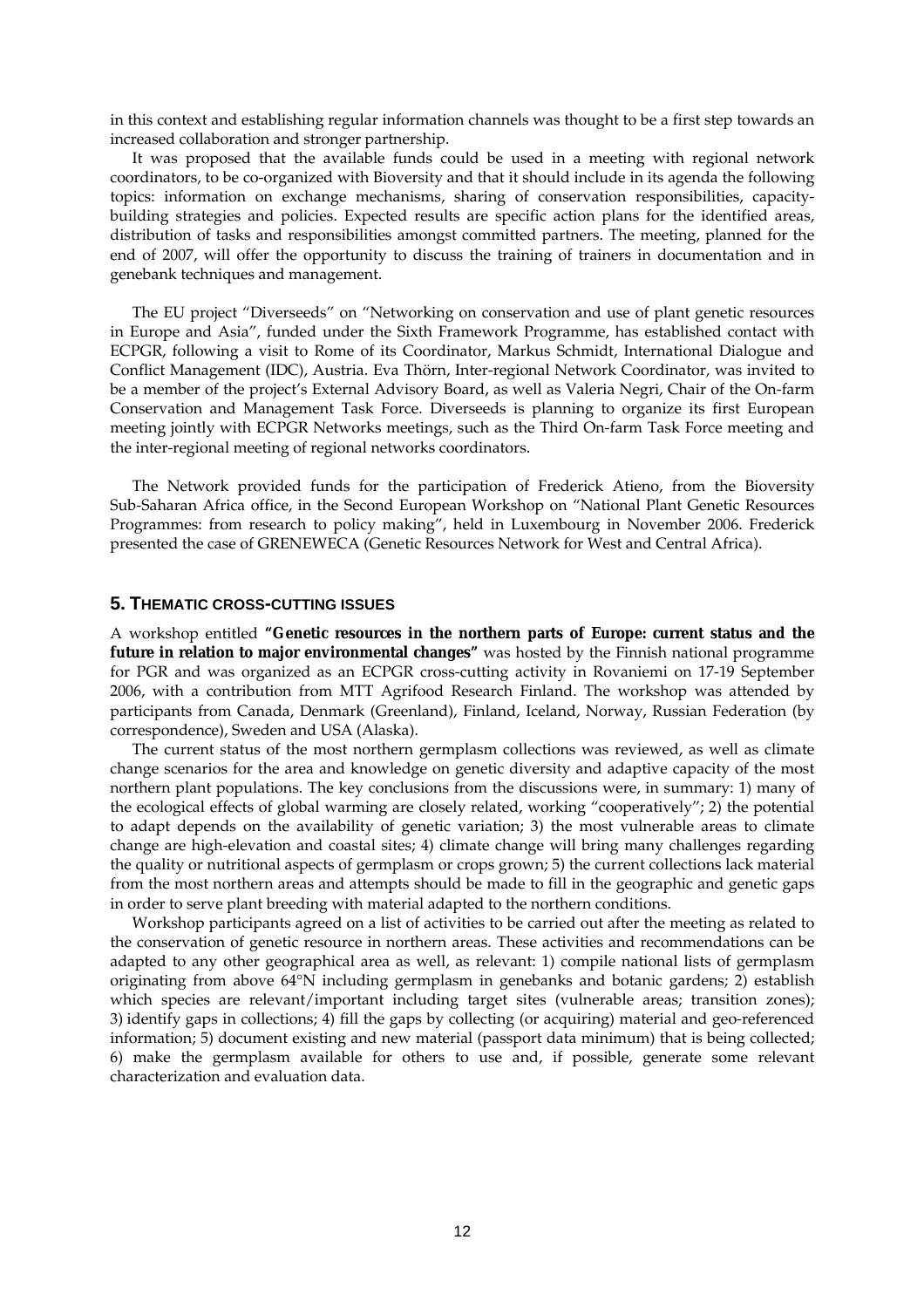in this context and establishing regular information channels was thought to be a first step towards an increased collaboration and stronger partnership.

It was proposed that the available funds could be used in a meeting with regional network coordinators, to be co-organized with Bioversity and that it should include in its agenda the following topics: information on exchange mechanisms, sharing of conservation responsibilities, capacitybuilding strategies and policies. Expected results are specific action plans for the identified areas, distribution of tasks and responsibilities amongst committed partners. The meeting, planned for the end of 2007, will offer the opportunity to discuss the training of trainers in documentation and in genebank techniques and management.

The EU project "Diverseeds" on "Networking on conservation and use of plant genetic resources in Europe and Asia", funded under the Sixth Framework Programme, has established contact with ECPGR, following a visit to Rome of its Coordinator, Markus Schmidt, International Dialogue and Conflict Management (IDC), Austria. Eva Thörn, Inter-regional Network Coordinator, was invited to be a member of the project's External Advisory Board, as well as Valeria Negri, Chair of the On-farm Conservation and Management Task Force. Diverseeds is planning to organize its first European meeting jointly with ECPGR Networks meetings, such as the Third On-farm Task Force meeting and the inter-regional meeting of regional networks coordinators.

The Network provided funds for the participation of Frederick Atieno, from the Bioversity Sub-Saharan Africa office, in the Second European Workshop on "National Plant Genetic Resources Programmes: from research to policy making", held in Luxembourg in November 2006. Frederick presented the case of GRENEWECA (Genetic Resources Network for West and Central Africa).

## **5. THEMATIC CROSS-CUTTING ISSUES**

A workshop entitled **"Genetic resources in the northern parts of Europe: current status and the future in relation to major environmental changes"** was hosted by the Finnish national programme for PGR and was organized as an ECPGR cross-cutting activity in Rovaniemi on 17-19 September 2006, with a contribution from MTT Agrifood Research Finland. The workshop was attended by participants from Canada, Denmark (Greenland), Finland, Iceland, Norway, Russian Federation (by correspondence), Sweden and USA (Alaska).

 The current status of the most northern germplasm collections was reviewed, as well as climate change scenarios for the area and knowledge on genetic diversity and adaptive capacity of the most northern plant populations. The key conclusions from the discussions were, in summary: 1) many of the ecological effects of global warming are closely related, working "cooperatively"; 2) the potential to adapt depends on the availability of genetic variation; 3) the most vulnerable areas to climate change are high-elevation and coastal sites; 4) climate change will bring many challenges regarding the quality or nutritional aspects of germplasm or crops grown; 5) the current collections lack material from the most northern areas and attempts should be made to fill in the geographic and genetic gaps in order to serve plant breeding with material adapted to the northern conditions.

 Workshop participants agreed on a list of activities to be carried out after the meeting as related to the conservation of genetic resource in northern areas. These activities and recommendations can be adapted to any other geographical area as well, as relevant: 1) compile national lists of germplasm originating from above 64°N including germplasm in genebanks and botanic gardens; 2) establish which species are relevant/important including target sites (vulnerable areas; transition zones); 3) identify gaps in collections; 4) fill the gaps by collecting (or acquiring) material and geo-referenced information; 5) document existing and new material (passport data minimum) that is being collected; 6) make the germplasm available for others to use and, if possible, generate some relevant characterization and evaluation data.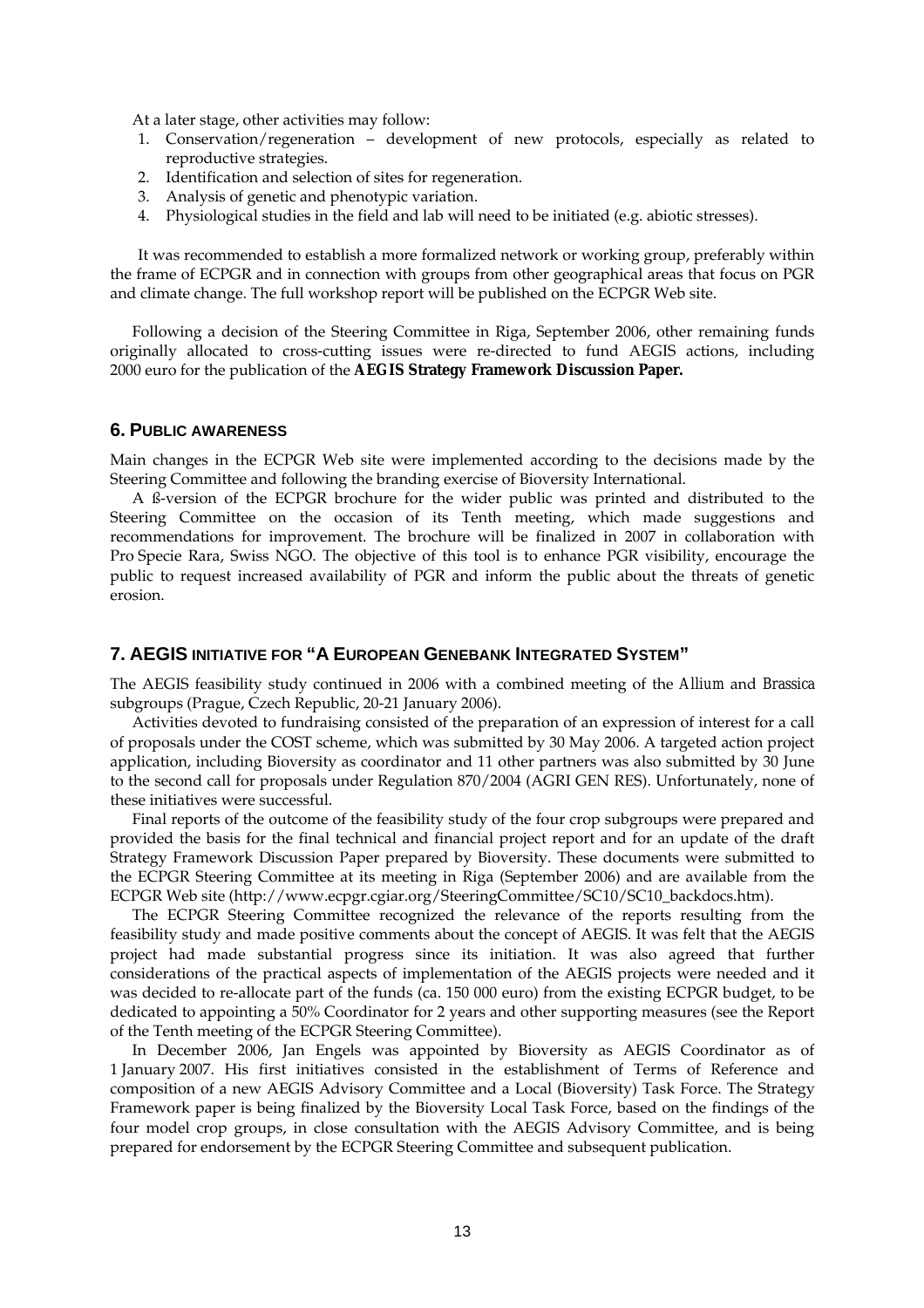At a later stage, other activities may follow:

- 1. Conservation/regeneration development of new protocols, especially as related to reproductive strategies.
- 2. Identification and selection of sites for regeneration.
- 3. Analysis of genetic and phenotypic variation.
- 4. Physiological studies in the field and lab will need to be initiated (e.g. abiotic stresses).

It was recommended to establish a more formalized network or working group, preferably within the frame of ECPGR and in connection with groups from other geographical areas that focus on PGR and climate change. The full workshop report will be published on the ECPGR Web site.

 Following a decision of the Steering Committee in Riga, September 2006, other remaining funds originally allocated to cross-cutting issues were re-directed to fund AEGIS actions, including 2000 euro for the publication of the **AEGIS Strategy Framework Discussion Paper.** 

#### **6. PUBLIC AWARENESS**

Main changes in the ECPGR Web site were implemented according to the decisions made by the Steering Committee and following the branding exercise of Bioversity International.

 A ß-version of the ECPGR brochure for the wider public was printed and distributed to the Steering Committee on the occasion of its Tenth meeting, which made suggestions and recommendations for improvement. The brochure will be finalized in 2007 in collaboration with Pro Specie Rara, Swiss NGO. The objective of this tool is to enhance PGR visibility, encourage the public to request increased availability of PGR and inform the public about the threats of genetic erosion.

## **7. AEGIS INITIATIVE FOR "A EUROPEAN GENEBANK INTEGRATED SYSTEM"**

The AEGIS feasibility study continued in 2006 with a combined meeting of the *Allium* and *Brassica* subgroups (Prague, Czech Republic, 20-21 January 2006).

 Activities devoted to fundraising consisted of the preparation of an expression of interest for a call of proposals under the COST scheme, which was submitted by 30 May 2006. A targeted action project application, including Bioversity as coordinator and 11 other partners was also submitted by 30 June to the second call for proposals under Regulation 870/2004 (AGRI GEN RES). Unfortunately, none of these initiatives were successful.

 Final reports of the outcome of the feasibility study of the four crop subgroups were prepared and provided the basis for the final technical and financial project report and for an update of the draft Strategy Framework Discussion Paper prepared by Bioversity. These documents were submitted to the ECPGR Steering Committee at its meeting in Riga (September 2006) and are available from the ECPGR Web site (http://www.ecpgr.cgiar.org/SteeringCommittee/SC10/SC10\_backdocs.htm).

 The ECPGR Steering Committee recognized the relevance of the reports resulting from the feasibility study and made positive comments about the concept of AEGIS. It was felt that the AEGIS project had made substantial progress since its initiation. It was also agreed that further considerations of the practical aspects of implementation of the AEGIS projects were needed and it was decided to re-allocate part of the funds (ca. 150 000 euro) from the existing ECPGR budget, to be dedicated to appointing a 50% Coordinator for 2 years and other supporting measures (see the Report of the Tenth meeting of the ECPGR Steering Committee).

 In December 2006, Jan Engels was appointed by Bioversity as AEGIS Coordinator as of 1 January 2007. His first initiatives consisted in the establishment of Terms of Reference and composition of a new AEGIS Advisory Committee and a Local (Bioversity) Task Force. The Strategy Framework paper is being finalized by the Bioversity Local Task Force, based on the findings of the four model crop groups, in close consultation with the AEGIS Advisory Committee, and is being prepared for endorsement by the ECPGR Steering Committee and subsequent publication.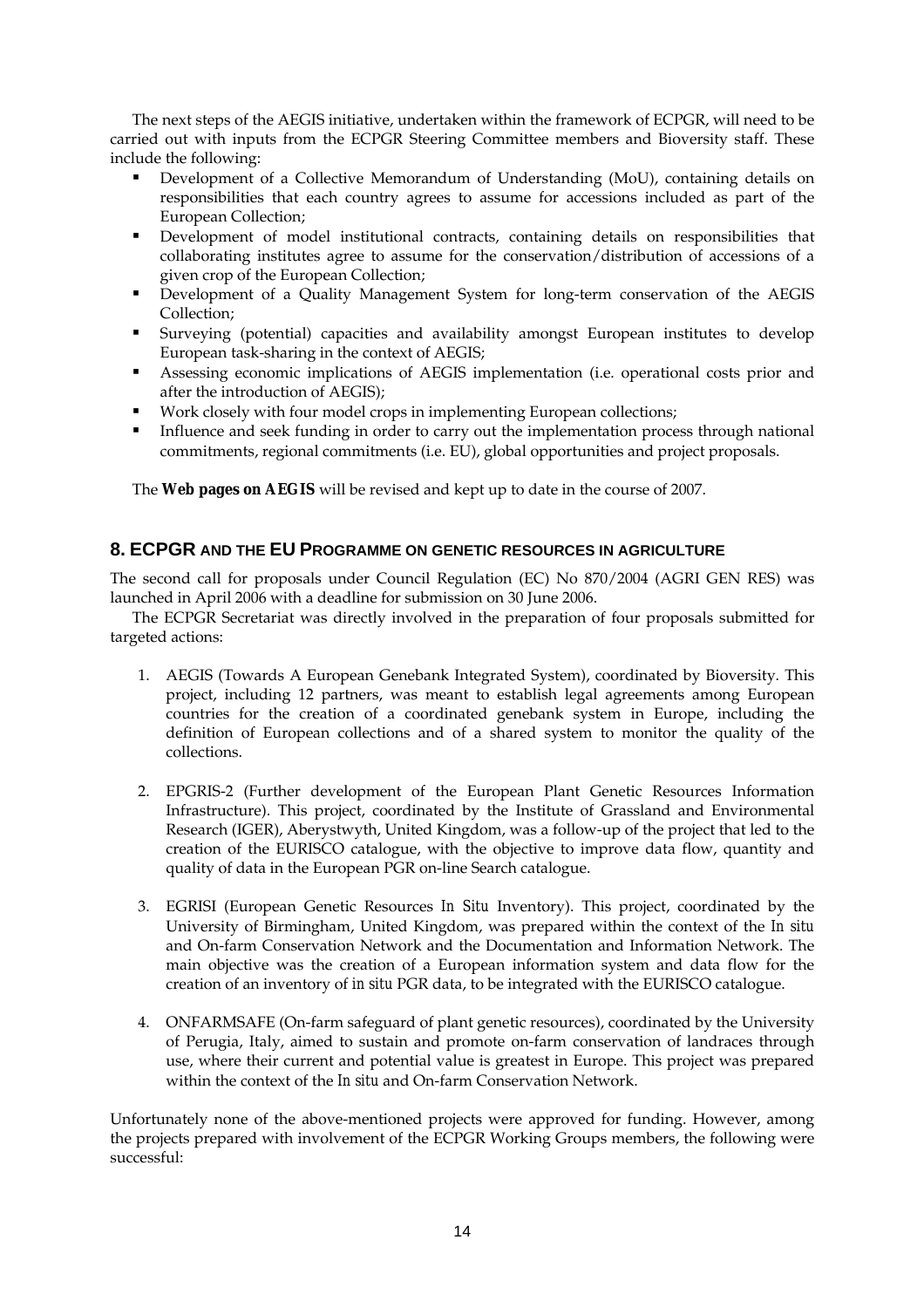The next steps of the AEGIS initiative, undertaken within the framework of ECPGR, will need to be carried out with inputs from the ECPGR Steering Committee members and Bioversity staff. These include the following:

- Development of a Collective Memorandum of Understanding (MoU), containing details on responsibilities that each country agrees to assume for accessions included as part of the European Collection;
- Development of model institutional contracts, containing details on responsibilities that collaborating institutes agree to assume for the conservation/distribution of accessions of a given crop of the European Collection;
- Development of a Quality Management System for long-term conservation of the AEGIS Collection;
- Surveying (potential) capacities and availability amongst European institutes to develop European task-sharing in the context of AEGIS;
- Assessing economic implications of AEGIS implementation (i.e. operational costs prior and after the introduction of AEGIS);
- Work closely with four model crops in implementing European collections;
- Influence and seek funding in order to carry out the implementation process through national commitments, regional commitments (i.e. EU), global opportunities and project proposals.

The **Web pages on AEGIS** will be revised and kept up to date in the course of 2007.

# **8. ECPGR AND THE EU PROGRAMME ON GENETIC RESOURCES IN AGRICULTURE**

The second call for proposals under Council Regulation (EC) No 870/2004 (AGRI GEN RES) was launched in April 2006 with a deadline for submission on 30 June 2006.

 The ECPGR Secretariat was directly involved in the preparation of four proposals submitted for targeted actions:

- 1. AEGIS (Towards A European Genebank Integrated System), coordinated by Bioversity. This project, including 12 partners, was meant to establish legal agreements among European countries for the creation of a coordinated genebank system in Europe, including the definition of European collections and of a shared system to monitor the quality of the collections.
- 2. EPGRIS-2 (Further development of the European Plant Genetic Resources Information Infrastructure). This project, coordinated by the Institute of Grassland and Environmental Research (IGER), Aberystwyth, United Kingdom, was a follow-up of the project that led to the creation of the EURISCO catalogue, with the objective to improve data flow, quantity and quality of data in the European PGR on-line Search catalogue.
- 3. EGRISI (European Genetic Resources *In Situ* Inventory). This project, coordinated by the University of Birmingham, United Kingdom, was prepared within the context of the *In situ* and On-farm Conservation Network and the Documentation and Information Network. The main objective was the creation of a European information system and data flow for the creation of an inventory of *in situ* PGR data, to be integrated with the EURISCO catalogue.
- 4. ONFARMSAFE (On-farm safeguard of plant genetic resources), coordinated by the University of Perugia, Italy, aimed to sustain and promote on-farm conservation of landraces through use, where their current and potential value is greatest in Europe. This project was prepared within the context of the *In situ* and On-farm Conservation Network.

Unfortunately none of the above-mentioned projects were approved for funding. However, among the projects prepared with involvement of the ECPGR Working Groups members, the following were successful: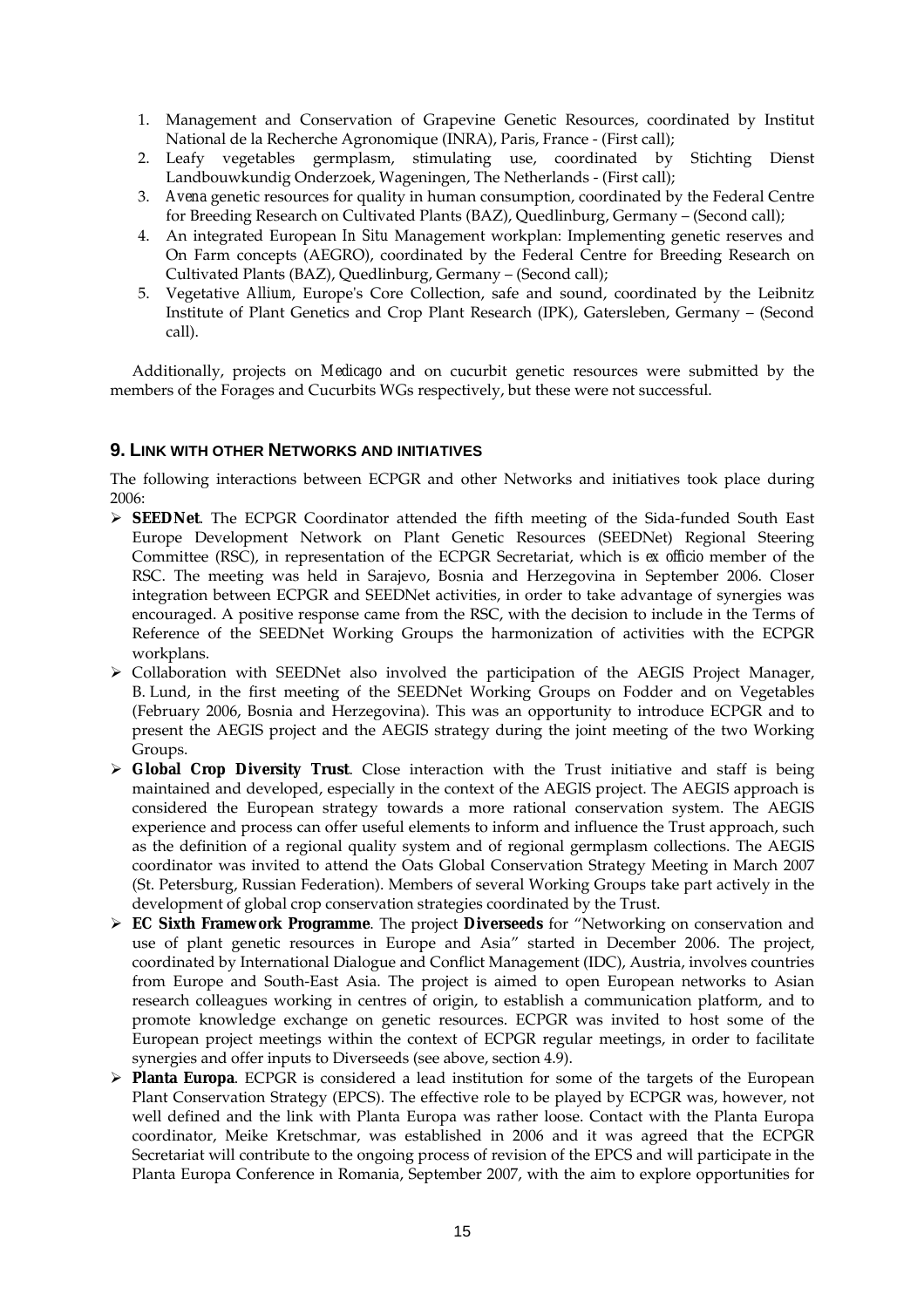- 1. Management and Conservation of Grapevine Genetic Resources, coordinated by Institut National de la Recherche Agronomique (INRA), Paris, France - (First call);
- 2. Leafy vegetables germplasm, stimulating use, coordinated by Stichting Dienst Landbouwkundig Onderzoek, Wageningen, The Netherlands - (First call);
- 3. *Avena* genetic resources for quality in human consumption, coordinated by the Federal Centre for Breeding Research on Cultivated Plants (BAZ), Quedlinburg, Germany – (Second call);
- 4. An integrated European *In Situ* Management workplan: Implementing genetic reserves and On Farm concepts (AEGRO), coordinated by the Federal Centre for Breeding Research on Cultivated Plants (BAZ), Quedlinburg, Germany – (Second call);
- 5. Vegetative *Allium*, Europe's Core Collection, safe and sound, coordinated by the Leibnitz Institute of Plant Genetics and Crop Plant Research (IPK), Gatersleben, Germany – (Second call).

 Additionally, projects on *Medicago* and on cucurbit genetic resources were submitted by the members of the Forages and Cucurbits WGs respectively, but these were not successful.

## **9. LINK WITH OTHER NETWORKS AND INITIATIVES**

The following interactions between ECPGR and other Networks and initiatives took place during 2006:

- ¾ **SEEDNet**. The ECPGR Coordinator attended the fifth meeting of the Sida-funded South East Europe Development Network on Plant Genetic Resources (SEEDNet) Regional Steering Committee (RSC), in representation of the ECPGR Secretariat, which is *ex officio* member of the RSC. The meeting was held in Sarajevo, Bosnia and Herzegovina in September 2006. Closer integration between ECPGR and SEEDNet activities, in order to take advantage of synergies was encouraged. A positive response came from the RSC, with the decision to include in the Terms of Reference of the SEEDNet Working Groups the harmonization of activities with the ECPGR workplans.
- ¾ Collaboration with SEEDNet also involved the participation of the AEGIS Project Manager, B. Lund, in the first meeting of the SEEDNet Working Groups on Fodder and on Vegetables (February 2006, Bosnia and Herzegovina). This was an opportunity to introduce ECPGR and to present the AEGIS project and the AEGIS strategy during the joint meeting of the two Working Groups.
- ¾ **Global Crop Diversity Trust**. Close interaction with the Trust initiative and staff is being maintained and developed, especially in the context of the AEGIS project. The AEGIS approach is considered the European strategy towards a more rational conservation system. The AEGIS experience and process can offer useful elements to inform and influence the Trust approach, such as the definition of a regional quality system and of regional germplasm collections. The AEGIS coordinator was invited to attend the Oats Global Conservation Strategy Meeting in March 2007 (St. Petersburg, Russian Federation). Members of several Working Groups take part actively in the development of global crop conservation strategies coordinated by the Trust.
- ¾ **EC Sixth Framework Programme**. The project **Diverseeds** for "Networking on conservation and use of plant genetic resources in Europe and Asia" started in December 2006. The project, coordinated by International Dialogue and Conflict Management (IDC), Austria, involves countries from Europe and South-East Asia. The project is aimed to open European networks to Asian research colleagues working in centres of origin, to establish a communication platform, and to promote knowledge exchange on genetic resources. ECPGR was invited to host some of the European project meetings within the context of ECPGR regular meetings, in order to facilitate synergies and offer inputs to Diverseeds (see above, section 4.9).
- ¾ **Planta Europa**. ECPGR is considered a lead institution for some of the targets of the European Plant Conservation Strategy (EPCS). The effective role to be played by ECPGR was, however, not well defined and the link with Planta Europa was rather loose. Contact with the Planta Europa coordinator, Meike Kretschmar, was established in 2006 and it was agreed that the ECPGR Secretariat will contribute to the ongoing process of revision of the EPCS and will participate in the Planta Europa Conference in Romania, September 2007, with the aim to explore opportunities for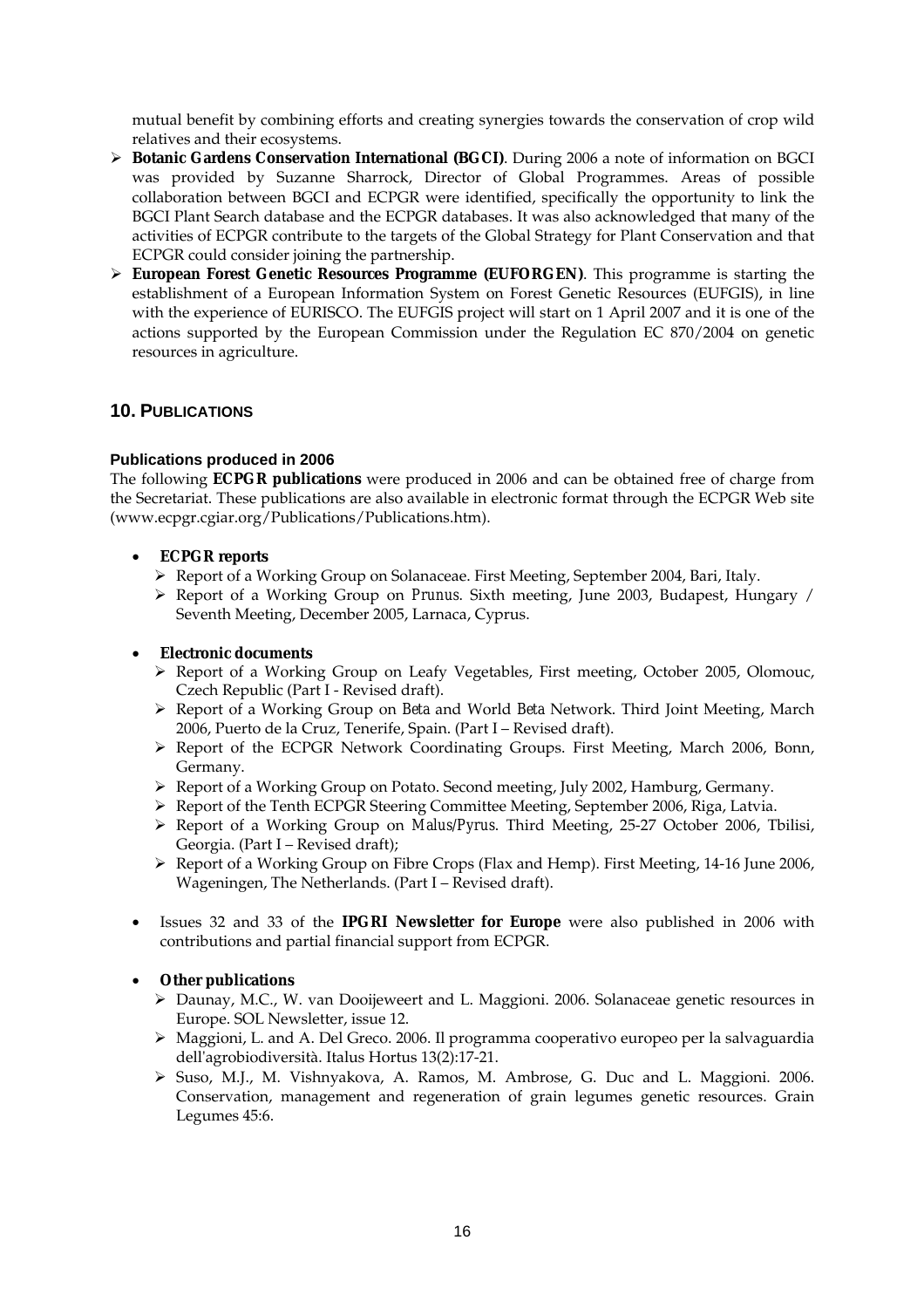mutual benefit by combining efforts and creating synergies towards the conservation of crop wild relatives and their ecosystems.

- ¾ **Botanic Gardens Conservation International (BGCI)**. During 2006 a note of information on BGCI was provided by Suzanne Sharrock, Director of Global Programmes. Areas of possible collaboration between BGCI and ECPGR were identified, specifically the opportunity to link the BGCI Plant Search database and the ECPGR databases. It was also acknowledged that many of the activities of ECPGR contribute to the targets of the Global Strategy for Plant Conservation and that ECPGR could consider joining the partnership.
- ¾ **European Forest Genetic Resources Programme (EUFORGEN)**. This programme is starting the establishment of a European Information System on Forest Genetic Resources (EUFGIS), in line with the experience of EURISCO. The EUFGIS project will start on 1 April 2007 and it is one of the actions supported by the European Commission under the Regulation EC 870/2004 on genetic resources in agriculture.

# **10. PUBLICATIONS**

## **Publications produced in 2006**

The following **ECPGR publications** were produced in 2006 and can be obtained free of charge from the Secretariat. These publications are also available in electronic format through the ECPGR Web site (www.ecpgr.cgiar.org/Publications/Publications.htm).

## • **ECPGR reports**

- ¾ Report of a Working Group on Solanaceae. First Meeting, September 2004, Bari, Italy.
- ¾ Report of a Working Group on *Prunus*. Sixth meeting, June 2003, Budapest, Hungary / Seventh Meeting, December 2005, Larnaca, Cyprus.

## • **Electronic documents**

- ¾ Report of a Working Group on Leafy Vegetables, First meeting, October 2005, Olomouc, Czech Republic (Part I - Revised draft).
- ¾ Report of a Working Group on *Beta* and World *Beta* Network. Third Joint Meeting, March 2006, Puerto de la Cruz, Tenerife, Spain. (Part I – Revised draft).
- ¾ Report of the ECPGR Network Coordinating Groups. First Meeting, March 2006, Bonn, Germany.
- ¾ Report of a Working Group on Potato. Second meeting, July 2002, Hamburg, Germany.
- $\triangleright$  Report of the Tenth ECPGR Steering Committee Meeting, September 2006, Riga, Latvia.
- ¾ Report of a Working Group on *Malus/Pyrus*. Third Meeting, 25-27 October 2006, Tbilisi, Georgia. (Part I – Revised draft);
- ¾ Report of a Working Group on Fibre Crops (Flax and Hemp). First Meeting, 14-16 June 2006, Wageningen, The Netherlands. (Part I – Revised draft).
- Issues 32 and 33 of the **IPGRI Newsletter for Europe** were also published in 2006 with contributions and partial financial support from ECPGR.

## • **Other publications**

- ¾ Daunay, M.C., W. van Dooijeweert and L. Maggioni. 2006. Solanaceae genetic resources in Europe. SOL Newsletter, issue 12.
- $\triangleright$  Maggioni, L. and A. Del Greco. 2006. Il programma cooperativo europeo per la salvaguardia dell'agrobiodiversità. Italus Hortus 13(2):17-21.
- ¾ Suso, M.J., M. Vishnyakova, A. Ramos, M. Ambrose, G. Duc and L. Maggioni. 2006. Conservation, management and regeneration of grain legumes genetic resources. Grain Legumes 45:6.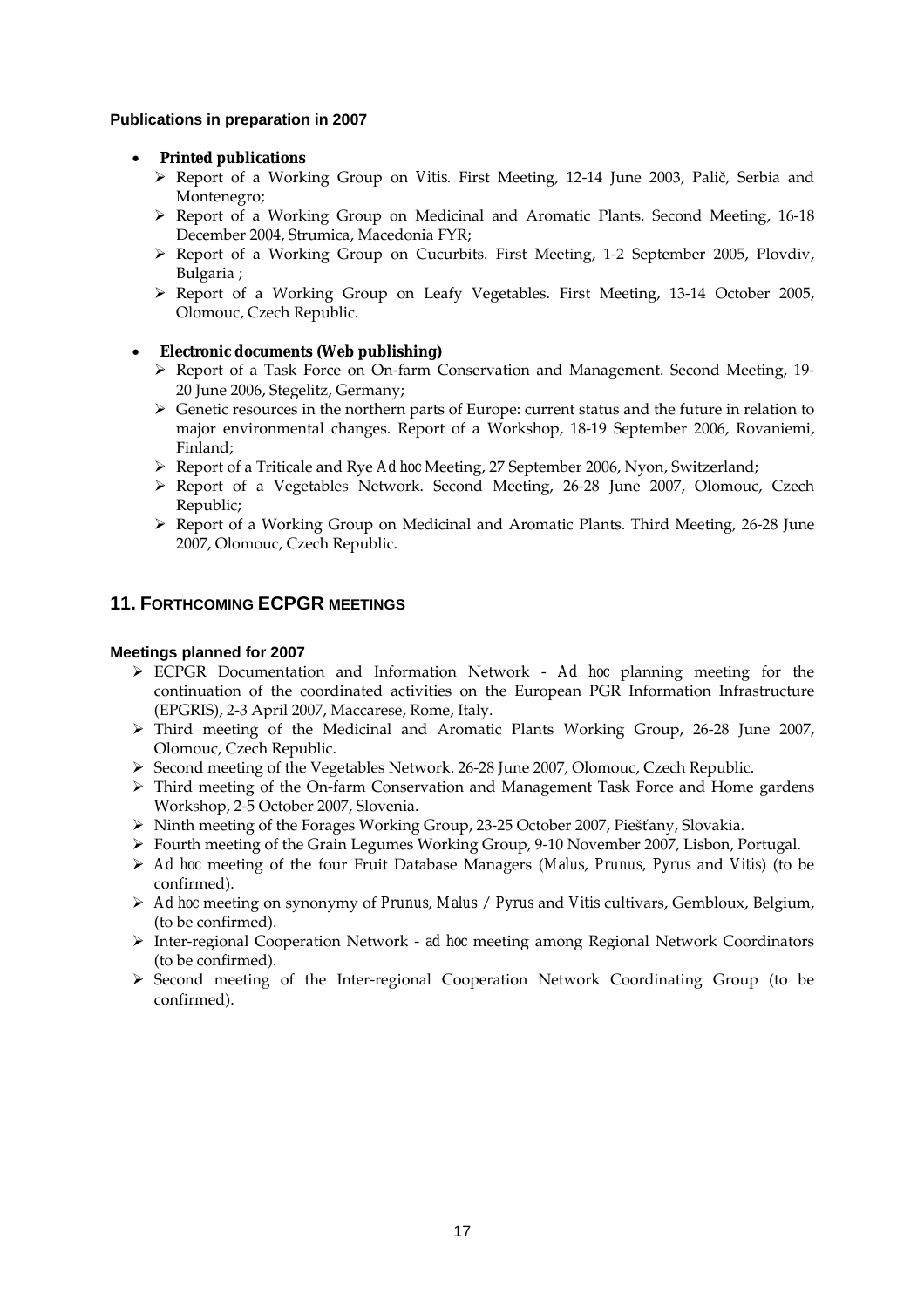## **Publications in preparation in 2007**

## • **Printed publications**

- ¾ Report of a Working Group on *Vitis*. First Meeting, 12-14 June 2003, Palič, Serbia and Montenegro;
- ¾ Report of a Working Group on Medicinal and Aromatic Plants. Second Meeting, 16-18 December 2004, Strumica, Macedonia FYR;
- ¾ Report of a Working Group on Cucurbits. First Meeting, 1-2 September 2005, Plovdiv, Bulgaria ;
- ¾ Report of a Working Group on Leafy Vegetables. First Meeting, 13-14 October 2005, Olomouc, Czech Republic.

# • **Electronic documents (Web publishing)**

- ¾ Report of a Task Force on On-farm Conservation and Management. Second Meeting, 19- 20 June 2006, Stegelitz, Germany;
- $\triangleright$  Genetic resources in the northern parts of Europe: current status and the future in relation to major environmental changes. Report of a Workshop, 18-19 September 2006, Rovaniemi, Finland;
- ¾ Report of a Triticale and Rye *Ad hoc* Meeting, 27 September 2006, Nyon, Switzerland;
- ¾ Report of a Vegetables Network. Second Meeting, 26-28 June 2007, Olomouc, Czech Republic;
- $\triangleright$  Report of a Working Group on Medicinal and Aromatic Plants. Third Meeting, 26-28 June 2007, Olomouc, Czech Republic.

# **11. FORTHCOMING ECPGR MEETINGS**

## **Meetings planned for 2007**

- ¾ ECPGR Documentation and Information Network *Ad hoc* planning meeting for the continuation of the coordinated activities on the European PGR Information Infrastructure (EPGRIS), 2-3 April 2007, Maccarese, Rome, Italy.
- ¾ Third meeting of the Medicinal and Aromatic Plants Working Group, 26-28 June 2007, Olomouc, Czech Republic.
- ¾ Second meeting of the Vegetables Network. 26-28 June 2007, Olomouc, Czech Republic.
- $\triangleright$  Third meeting of the On-farm Conservation and Management Task Force and Home gardens Workshop, 2-5 October 2007, Slovenia.
- ¾ Ninth meeting of the Forages Working Group, 23-25 October 2007, Piešťany, Slovakia.
- $\triangleright$  Fourth meeting of the Grain Legumes Working Group, 9-10 November 2007, Lisbon, Portugal.
- ¾ *Ad hoc* meeting of the four Fruit Database Managers (*Malus*, *Prunus, Pyrus* and *Vitis*) (to be confirmed).
- ¾ *Ad hoc* meeting on synonymy of *Prunus*, *Malus* / *Pyrus* and *Vitis* cultivars, Gembloux, Belgium, (to be confirmed).
- ¾ Inter-regional Cooperation Network *ad hoc* meeting among Regional Network Coordinators (to be confirmed).
- $\triangleright$  Second meeting of the Inter-regional Cooperation Network Coordinating Group (to be confirmed).